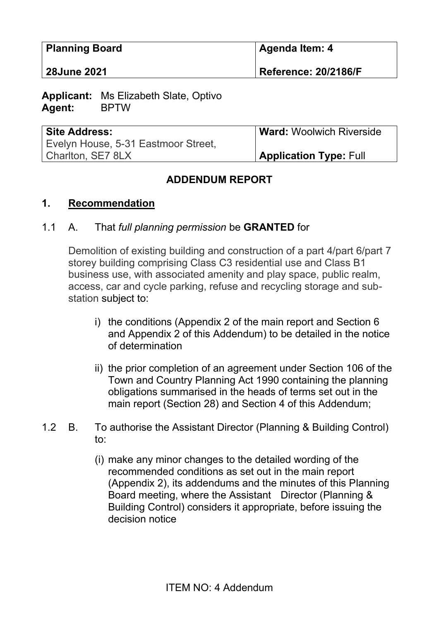| <b>Planning Board</b> | <b>∣Agenda Item: 4</b>      |
|-----------------------|-----------------------------|
| <b>28June 2021</b>    | <b>Reference: 20/2186/F</b> |

**Applicant:** Ms Elizabeth Slate, Optivo **Agent:** BPTW

| <b>Site Address:</b>                | <b>Ward: Woolwich Riverside</b> |
|-------------------------------------|---------------------------------|
| Evelyn House, 5-31 Eastmoor Street, |                                 |
| Charlton, SE7 8LX                   | <b>Application Type: Full</b>   |

#### **ADDENDUM REPORT**

#### **1. Recommendation**

#### 1.1 A. That *full planning permission* be **GRANTED** for

Demolition of existing building and construction of a part 4/part 6/part 7 storey building comprising Class C3 residential use and Class B1 business use, with associated amenity and play space, public realm, access, car and cycle parking, refuse and recycling storage and substation subject to:

- i) the conditions (Appendix 2 of the main report and Section 6 and Appendix 2 of this Addendum) to be detailed in the notice of determination
- ii) the prior completion of an agreement under Section 106 of the Town and Country Planning Act 1990 containing the planning obligations summarised in the heads of terms set out in the main report (Section 28) and Section 4 of this Addendum;
- 1.2 B. To authorise the Assistant Director (Planning & Building Control) to:
	- (i) make any minor changes to the detailed wording of the recommended conditions as set out in the main report (Appendix 2), its addendums and the minutes of this Planning Board meeting, where the Assistant Director (Planning & Building Control) considers it appropriate, before issuing the decision notice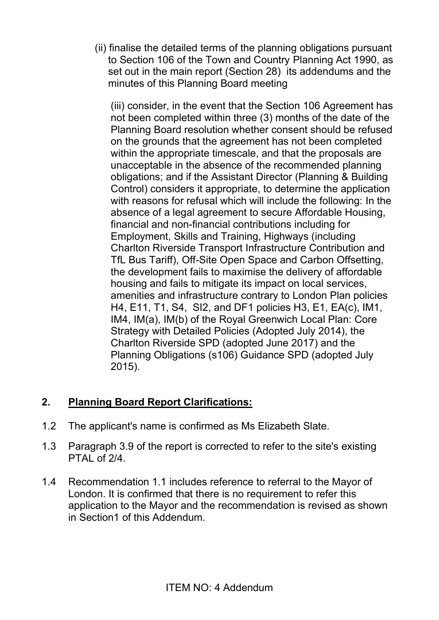(ii) finalise the detailed terms of the planning obligations pursuant to Section 106 of the Town and Country Planning Act 1990, as set out in the main report (Section 28) its addendums and the minutes of this Planning Board meeting

(iii) consider, in the event that the Section 106 Agreement has not been completed within three (3) months of the date of the Planning Board resolution whether consent should be refused on the grounds that the agreement has not been completed within the appropriate timescale, and that the proposals are unacceptable in the absence of the recommended planning obligations; and if the Assistant Director (Planning & Building Control) considers it appropriate, to determine the application with reasons for refusal which will include the following: In the absence of a legal agreement to secure Affordable Housing, financial and non-financial contributions including for Employment, Skills and Training, Highways (including Charlton Riverside Transport Infrastructure Contribution and TfL Bus Tariff), Off-Site Open Space and Carbon Offsetting, the development fails to maximise the delivery of affordable housing and fails to mitigate its impact on local services, amenities and infrastructure contrary to London Plan policies H4, E11, T1, S4, SI2, and DF1 policies H3, E1, EA(c), IM1, IM4, IM(a), IM(b) of the Royal Greenwich Local Plan: Core Strategy with Detailed Policies (Adopted July 2014), the Charlton Riverside SPD (adopted June 2017) and the Planning Obligations (s106) Guidance SPD (adopted July 2015).

## **2. Planning Board Report Clarifications:**

- 1.2 The applicant's name is confirmed as Ms Elizabeth Slate.
- 1.3 Paragraph 3.9 of the report is corrected to refer to the site's existing PTAL of  $2/4$ .
- 1.4 Recommendation 1.1 includes reference to referral to the Mayor of London. It is confirmed that there is no requirement to refer this application to the Mayor and the recommendation is revised as shown in Section1 of this Addendum.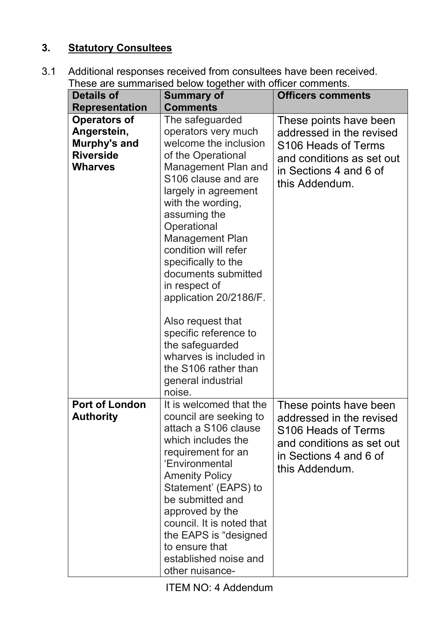# **3. Statutory Consultees**

3.1 Additional responses received from consultees have been received. These are summarised below together with officer comments.

| <b>Details of</b>                         | mese are summansed below together with onlicer comments.<br><b>Summary of</b>                                                                                                                                                                                                                                                                                                                              | <b>Officers comments</b>                                                                                                                           |
|-------------------------------------------|------------------------------------------------------------------------------------------------------------------------------------------------------------------------------------------------------------------------------------------------------------------------------------------------------------------------------------------------------------------------------------------------------------|----------------------------------------------------------------------------------------------------------------------------------------------------|
| <b>Representation</b>                     | <b>Comments</b>                                                                                                                                                                                                                                                                                                                                                                                            |                                                                                                                                                    |
| <b>Operators of</b>                       | The safeguarded                                                                                                                                                                                                                                                                                                                                                                                            |                                                                                                                                                    |
| Angerstein,                               | operators very much                                                                                                                                                                                                                                                                                                                                                                                        | These points have been<br>addressed in the revised                                                                                                 |
| Murphy's and                              | welcome the inclusion                                                                                                                                                                                                                                                                                                                                                                                      |                                                                                                                                                    |
| <b>Riverside</b>                          | of the Operational                                                                                                                                                                                                                                                                                                                                                                                         | S106 Heads of Terms                                                                                                                                |
| <b>Wharves</b>                            |                                                                                                                                                                                                                                                                                                                                                                                                            | and conditions as set out                                                                                                                          |
|                                           | Management Plan and<br>S106 clause and are<br>largely in agreement<br>with the wording,<br>assuming the<br>Operational<br><b>Management Plan</b><br>condition will refer<br>specifically to the<br>documents submitted<br>in respect of<br>application 20/2186/F.<br>Also request that<br>specific reference to<br>the safeguarded<br>wharves is included in<br>the S106 rather than<br>general industrial | in Sections 4 and 6 of<br>this Addendum.                                                                                                           |
|                                           | noise.                                                                                                                                                                                                                                                                                                                                                                                                     |                                                                                                                                                    |
| <b>Port of London</b><br><b>Authority</b> | It is welcomed that the<br>council are seeking to<br>attach a S106 clause<br>which includes the<br>requirement for an<br>'Environmental<br><b>Amenity Policy</b><br>Statement' (EAPS) to<br>be submitted and<br>approved by the<br>council. It is noted that<br>the EAPS is "designed"<br>to ensure that<br>established noise and<br>other nuisance-                                                       | These points have been<br>addressed in the revised<br>S106 Heads of Terms<br>and conditions as set out<br>in Sections 4 and 6 of<br>this Addendum. |

ITEM NO: 4 Addendum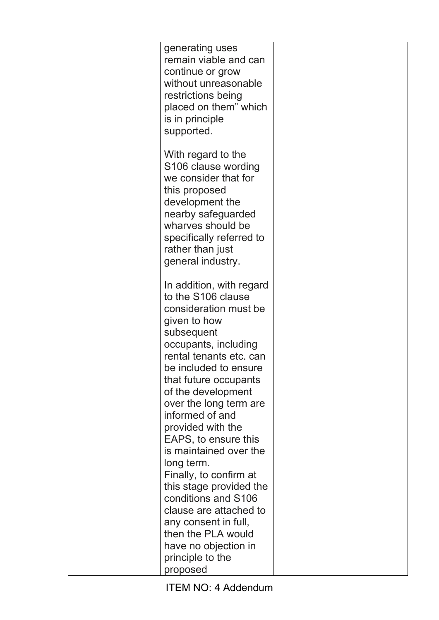generating uses remain viable and can continue or grow without unreasonable restrictions being placed on them" which is in principle supported.

With regard to the S106 clause wording we consider that for this proposed development the nearby safeguarded wharves should be specifically referred to rather than just general industry.

In addition, with regard to the S106 clause consideration must be given to how subsequent occupants, including rental tenants etc. can be included to ensure that future occupants of the development over the long term are informed of and provided with the EAPS, to ensure this is maintained over the long term. Finally, to confirm at this stage provided the conditions and S106 clause are attached to any consent in full, then the PLA would have no objection in principle to the proposed

ITEM NO: 4 Addendum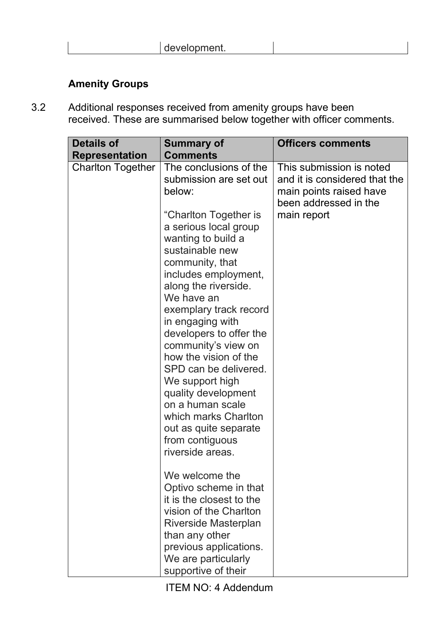|  |  | --<br>$-$<br>,,,,,,,,<br>$    -$<br>. . |  |
|--|--|-----------------------------------------|--|
|--|--|-----------------------------------------|--|

## **Amenity Groups**

3.2 Additional responses received from amenity groups have been received. These are summarised below together with officer comments.

| <b>Details of</b>        | <b>Summary of</b>                                                                                                                                                                                                                                                                                                                                                                                                                                                                                                                              | <b>Officers comments</b>                                                                                                     |
|--------------------------|------------------------------------------------------------------------------------------------------------------------------------------------------------------------------------------------------------------------------------------------------------------------------------------------------------------------------------------------------------------------------------------------------------------------------------------------------------------------------------------------------------------------------------------------|------------------------------------------------------------------------------------------------------------------------------|
| <b>Representation</b>    | <b>Comments</b>                                                                                                                                                                                                                                                                                                                                                                                                                                                                                                                                |                                                                                                                              |
| <b>Charlton Together</b> | The conclusions of the<br>submission are set out<br>below:<br>"Charlton Together is<br>a serious local group<br>wanting to build a<br>sustainable new<br>community, that<br>includes employment,<br>along the riverside.<br>We have an<br>exemplary track record<br>in engaging with<br>developers to offer the<br>community's view on<br>how the vision of the<br>SPD can be delivered.<br>We support high<br>quality development<br>on a human scale<br>which marks Charlton<br>out as quite separate<br>from contiguous<br>riverside areas. | This submission is noted<br>and it is considered that the<br>main points raised have<br>been addressed in the<br>main report |
|                          | We welcome the<br>Optivo scheme in that<br>it is the closest to the<br>vision of the Charlton<br>Riverside Masterplan<br>than any other<br>previous applications.<br>We are particularly<br>supportive of their                                                                                                                                                                                                                                                                                                                                |                                                                                                                              |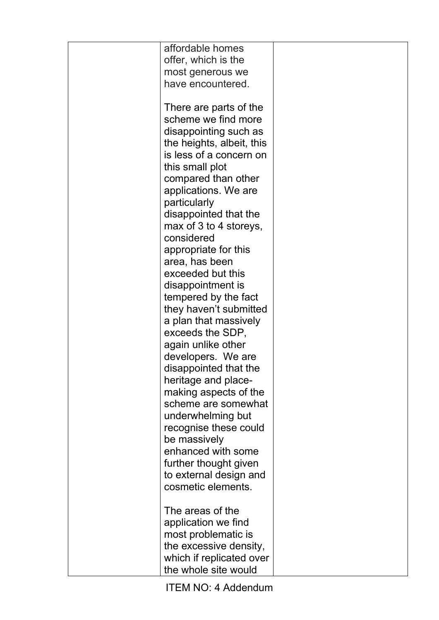| affordable homes                       |  |
|----------------------------------------|--|
| offer, which is the                    |  |
| most generous we                       |  |
| have encountered.                      |  |
|                                        |  |
| There are parts of the                 |  |
| scheme we find more                    |  |
| disappointing such as                  |  |
| the heights, albeit, this              |  |
| is less of a concern on                |  |
| this small plot                        |  |
| compared than other                    |  |
| applications. We are                   |  |
| particularly                           |  |
| disappointed that the                  |  |
| max of 3 to 4 storeys,                 |  |
| considered                             |  |
|                                        |  |
| appropriate for this<br>area, has been |  |
| exceeded but this                      |  |
|                                        |  |
| disappointment is                      |  |
| tempered by the fact                   |  |
| they haven't submitted                 |  |
| a plan that massively                  |  |
| exceeds the SDP,                       |  |
| again unlike other                     |  |
| developers. We are                     |  |
| disappointed that the                  |  |
| heritage and place-                    |  |
| making aspects of the                  |  |
| scheme are somewhat                    |  |
| underwhelming but                      |  |
| recognise these could                  |  |
| be massively                           |  |
| enhanced with some                     |  |
| further thought given                  |  |
| to external design and                 |  |
| cosmetic elements.                     |  |
|                                        |  |
| The areas of the                       |  |
| application we find                    |  |
| most problematic is                    |  |
| the excessive density,                 |  |
| which if replicated over               |  |
| the whole site would                   |  |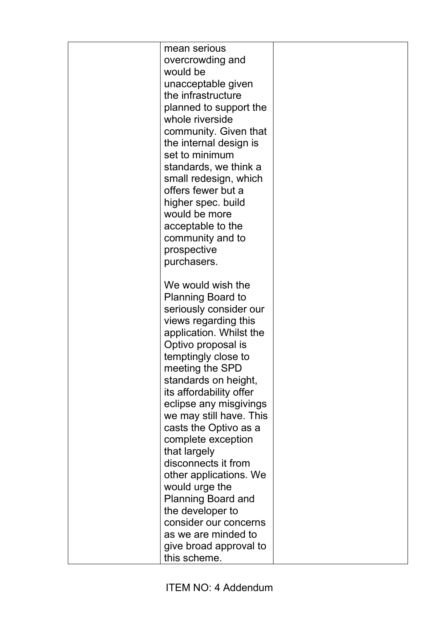| mean serious              |  |
|---------------------------|--|
| overcrowding and          |  |
| would be                  |  |
| unacceptable given        |  |
| the infrastructure        |  |
| planned to support the    |  |
| whole riverside           |  |
| community. Given that     |  |
| the internal design is    |  |
| set to minimum            |  |
| standards, we think a     |  |
| small redesign, which     |  |
| offers fewer but a        |  |
| higher spec. build        |  |
| would be more             |  |
| acceptable to the         |  |
| community and to          |  |
| prospective               |  |
| purchasers.               |  |
|                           |  |
| We would wish the         |  |
| Planning Board to         |  |
| seriously consider our    |  |
| views regarding this      |  |
| application. Whilst the   |  |
| Optivo proposal is        |  |
| temptingly close to       |  |
| meeting the SPD           |  |
| standards on height,      |  |
| its affordability offer   |  |
| eclipse any misgivings    |  |
| we may still have. This   |  |
| casts the Optivo as a     |  |
| complete exception        |  |
| that largely              |  |
| disconnects it from       |  |
| other applications. We    |  |
| would urge the            |  |
| <b>Planning Board and</b> |  |
| the developer to          |  |
| consider our concerns     |  |
| as we are minded to       |  |
| give broad approval to    |  |
| this scheme.              |  |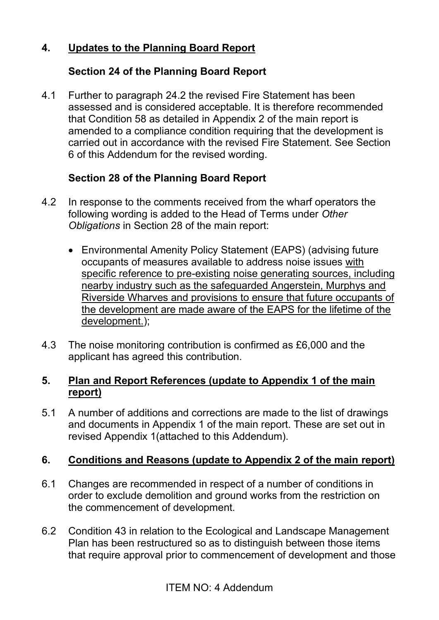## **4. Updates to the Planning Board Report**

#### **Section 24 of the Planning Board Report**

4.1 Further to paragraph 24.2 the revised Fire Statement has been assessed and is considered acceptable. It is therefore recommended that Condition 58 as detailed in Appendix 2 of the main report is amended to a compliance condition requiring that the development is carried out in accordance with the revised Fire Statement. See Section 6 of this Addendum for the revised wording.

## **Section 28 of the Planning Board Report**

- 4.2 In response to the comments received from the wharf operators the following wording is added to the Head of Terms under *Other Obligations* in Section 28 of the main report:
	- Environmental Amenity Policy Statement (EAPS) (advising future occupants of measures available to address noise issues with specific reference to pre-existing noise generating sources, including nearby industry such as the safeguarded Angerstein, Murphys and Riverside Wharves and provisions to ensure that future occupants of the development are made aware of the EAPS for the lifetime of the development.);
- 4.3 The noise monitoring contribution is confirmed as £6,000 and the applicant has agreed this contribution.

#### **5. Plan and Report References (update to Appendix 1 of the main report)**

5.1 A number of additions and corrections are made to the list of drawings and documents in Appendix 1 of the main report. These are set out in revised Appendix 1(attached to this Addendum).

## **6. Conditions and Reasons (update to Appendix 2 of the main report)**

- 6.1 Changes are recommended in respect of a number of conditions in order to exclude demolition and ground works from the restriction on the commencement of development.
- 6.2 Condition 43 in relation to the Ecological and Landscape Management Plan has been restructured so as to distinguish between those items that require approval prior to commencement of development and those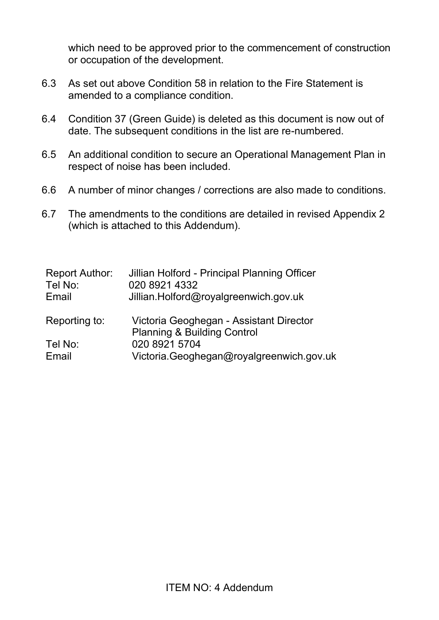which need to be approved prior to the commencement of construction or occupation of the development.

- 6.3 As set out above Condition 58 in relation to the Fire Statement is amended to a compliance condition.
- 6.4 Condition 37 (Green Guide) is deleted as this document is now out of date. The subsequent conditions in the list are re-numbered.
- 6.5 An additional condition to secure an Operational Management Plan in respect of noise has been included.
- 6.6 A number of minor changes / corrections are also made to conditions.
- 6.7 The amendments to the conditions are detailed in revised Appendix 2 (which is attached to this Addendum).

| <b>Report Author:</b><br>Tel No: | Jillian Holford - Principal Planning Officer<br>020 8921 4332 |
|----------------------------------|---------------------------------------------------------------|
| Email                            | Jillian.Holford@royalgreenwich.gov.uk                         |
| Reporting to:                    | Victoria Geoghegan - Assistant Director                       |
|                                  | <b>Planning &amp; Building Control</b>                        |
| Tel No:                          | 020 8921 5704                                                 |
| Email                            | Victoria.Geoghegan@royalgreenwich.gov.uk                      |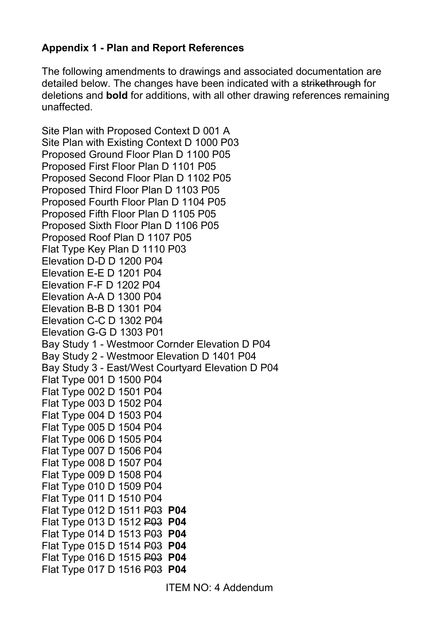## **Appendix 1 - Plan and Report References**

The following amendments to drawings and associated documentation are detailed below. The changes have been indicated with a strikethrough for deletions and **bold** for additions, with all other drawing references remaining unaffected.

Site Plan with Proposed Context D 001 A Site Plan with Existing Context D 1000 P03 Proposed Ground Floor Plan D 1100 P05 Proposed First Floor Plan D 1101 P05 Proposed Second Floor Plan D 1102 P05 Proposed Third Floor Plan D 1103 P05 Proposed Fourth Floor Plan D 1104 P05 Proposed Fifth Floor Plan D 1105 P05 Proposed Sixth Floor Plan D 1106 P05 Proposed Roof Plan D 1107 P05 Flat Type Key Plan D 1110 P03 Elevation D-D D 1200 P04 Elevation E-E D 1201 P04 Elevation F-F D 1202 P04 Elevation A-A D 1300 P04 Elevation B-B D 1301 P04 Elevation C-C D 1302 P04 Elevation G-G D 1303 P01 Bay Study 1 - Westmoor Cornder Elevation D P04 Bay Study 2 - Westmoor Elevation D 1401 P04 Bay Study 3 - East/West Courtyard Elevation D P04 Flat Type 001 D 1500 P04 Flat Type 002 D 1501 P04 Flat Type 003 D 1502 P04 Flat Type 004 D 1503 P04 Flat Type 005 D 1504 P04 Flat Type 006 D 1505 P04 Flat Type 007 D 1506 P04 Flat Type 008 D 1507 P04 Flat Type 009 D 1508 P04 Flat Type 010 D 1509 P04 Flat Type 011 D 1510 P04 Flat Type 012 D 1511 P03 **P04** Flat Type 013 D 1512 P03 **P04** Flat Type 014 D 1513 P03 **P04** Flat Type 015 D 1514 P03 **P04** Flat Type 016 D 1515 P03 **P04** Flat Type 017 D 1516 P03 **P04**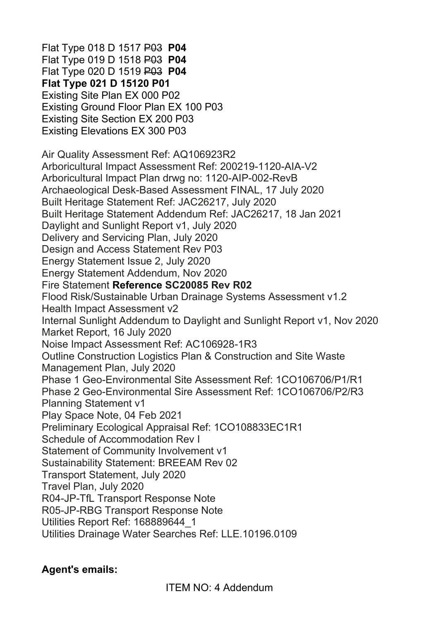Flat Type 018 D 1517 P03 **P04** Flat Type 019 D 1518 P03 **P04** Flat Type 020 D 1519 P03 **P04 Flat Type 021 D 15120 P01**  Existing Site Plan EX 000 P02 Existing Ground Floor Plan EX 100 P03 Existing Site Section EX 200 P03 Existing Elevations EX 300 P03 Air Quality Assessment Ref: AQ106923R2 Arboricultural Impact Assessment Ref: 200219-1120-AIA-V2 Arboricultural Impact Plan drwg no: 1120-AIP-002-RevB Archaeological Desk-Based Assessment FINAL, 17 July 2020 Built Heritage Statement Ref: JAC26217, July 2020 Built Heritage Statement Addendum Ref: JAC26217, 18 Jan 2021 Daylight and Sunlight Report v1, July 2020 Delivery and Servicing Plan, July 2020 Design and Access Statement Rev P03 Energy Statement Issue 2, July 2020 Energy Statement Addendum, Nov 2020 Fire Statement **Reference SC20085 Rev R02** Flood Risk/Sustainable Urban Drainage Systems Assessment v1.2 Health Impact Assessment v2 Internal Sunlight Addendum to Daylight and Sunlight Report v1, Nov 2020 Market Report, 16 July 2020 Noise Impact Assessment Ref: AC106928-1R3 Outline Construction Logistics Plan & Construction and Site Waste Management Plan, July 2020 Phase 1 Geo-Environmental Site Assessment Ref: 1CO106706/P1/R1 Phase 2 Geo-Environmental Sire Assessment Ref: 1CO106706/P2/R3 Planning Statement v1 Play Space Note, 04 Feb 2021 Preliminary Ecological Appraisal Ref: 1CO108833EC1R1 Schedule of Accommodation Rev I Statement of Community Involvement v1 Sustainability Statement: BREEAM Rev 02 Transport Statement, July 2020 Travel Plan, July 2020 R04-JP-TfL Transport Response Note R05-JP-RBG Transport Response Note Utilities Report Ref: 168889644\_1 Utilities Drainage Water Searches Ref: LLE.10196.0109

#### **Agent's emails:**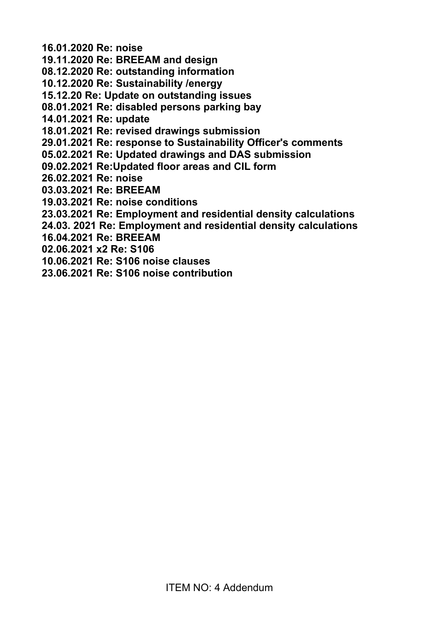**16.01.2020 Re: noise** 

**19.11.2020 Re: BREEAM and design** 

**08.12.2020 Re: outstanding information** 

**10.12.2020 Re: Sustainability /energy** 

**15.12.20 Re: Update on outstanding issues** 

**08.01.2021 Re: disabled persons parking bay** 

**14.01.2021 Re: update** 

**18.01.2021 Re: revised drawings submission** 

**29.01.2021 Re: response to Sustainability Officer's comments** 

- **05.02.2021 Re: Updated drawings and DAS submission**
- **09.02.2021 Re:Updated floor areas and CIL form**
- **26.02.2021 Re: noise**
- **03.03.2021 Re: BREEAM**
- **19.03.2021 Re: noise conditions**
- **23.03.2021 Re: Employment and residential density calculations**
- **24.03. 2021 Re: Employment and residential density calculations**
- **16.04.2021 Re: BREEAM**
- **02.06.2021 x2 Re: S106**
- **10.06.2021 Re: S106 noise clauses**
- **23.06.2021 Re: S106 noise contribution**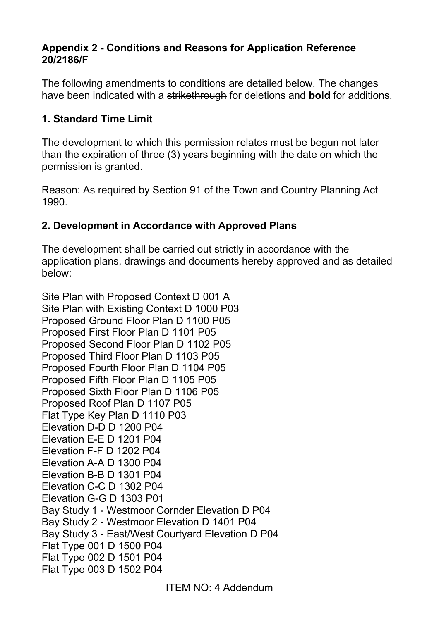#### **Appendix 2 - Conditions and Reasons for Application Reference 20/2186/F**

The following amendments to conditions are detailed below. The changes have been indicated with a strikethrough for deletions and **bold** for additions.

#### **1. Standard Time Limit**

The development to which this permission relates must be begun not later than the expiration of three (3) years beginning with the date on which the permission is granted.

Reason: As required by Section 91 of the Town and Country Planning Act 1990.

#### **2. Development in Accordance with Approved Plans**

The development shall be carried out strictly in accordance with the application plans, drawings and documents hereby approved and as detailed below:

Site Plan with Proposed Context D 001 A Site Plan with Existing Context D 1000 P03 Proposed Ground Floor Plan D 1100 P05 Proposed First Floor Plan D 1101 P05 Proposed Second Floor Plan D 1102 P05 Proposed Third Floor Plan D 1103 P05 Proposed Fourth Floor Plan D 1104 P05 Proposed Fifth Floor Plan D 1105 P05 Proposed Sixth Floor Plan D 1106 P05 Proposed Roof Plan D 1107 P05 Flat Type Key Plan D 1110 P03 Elevation D-D D 1200 P04 Elevation E-E D 1201 P04 Elevation F-F D 1202 P04 Elevation A-A D 1300 P04 Elevation B-B D 1301 P04 Elevation C-C D 1302 P04 Elevation G-G D 1303 P01 Bay Study 1 - Westmoor Cornder Elevation D P04 Bay Study 2 - Westmoor Elevation D 1401 P04 Bay Study 3 - East/West Courtyard Elevation D P04 Flat Type 001 D 1500 P04 Flat Type 002 D 1501 P04 Flat Type 003 D 1502 P04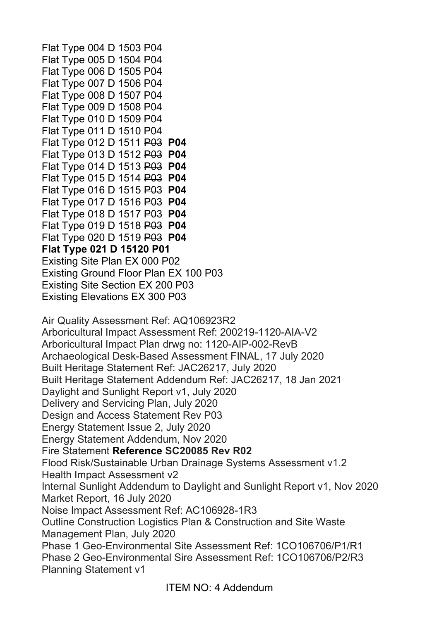Flat Type 004 D 1503 P04 Flat Type 005 D 1504 P04 Flat Type 006 D 1505 P04 Flat Type 007 D 1506 P04 Flat Type 008 D 1507 P04 Flat Type 009 D 1508 P04 Flat Type 010 D 1509 P04 Flat Type 011 D 1510 P04 Flat Type 012 D 1511 P03 **P04** Flat Type 013 D 1512 P03 **P04** Flat Type 014 D 1513 P03 **P04** Flat Type 015 D 1514 P03 **P04** Flat Type 016 D 1515 P03 **P04** Flat Type 017 D 1516 P03 **P04** Flat Type 018 D 1517 P03 **P04** Flat Type 019 D 1518 P03 **P04** Flat Type 020 D 1519 P03 **P04 Flat Type 021 D 15120 P01**  Existing Site Plan EX 000 P02 Existing Ground Floor Plan EX 100 P03 Existing Site Section EX 200 P03 Existing Elevations EX 300 P03 Air Quality Assessment Ref: AQ106923R2 Arboricultural Impact Assessment Ref: 200219-1120-AIA-V2 Arboricultural Impact Plan drwg no: 1120-AIP-002-RevB Archaeological Desk-Based Assessment FINAL, 17 July 2020 Built Heritage Statement Ref: JAC26217, July 2020 Built Heritage Statement Addendum Ref: JAC26217, 18 Jan 2021 Daylight and Sunlight Report v1, July 2020 Delivery and Servicing Plan, July 2020 Design and Access Statement Rev P03 Energy Statement Issue 2, July 2020 Energy Statement Addendum, Nov 2020 Fire Statement **Reference SC20085 Rev R02** Flood Risk/Sustainable Urban Drainage Systems Assessment v1.2 Health Impact Assessment v2 Internal Sunlight Addendum to Daylight and Sunlight Report v1, Nov 2020 Market Report, 16 July 2020 Noise Impact Assessment Ref: AC106928-1R3 Outline Construction Logistics Plan & Construction and Site Waste Management Plan, July 2020 Phase 1 Geo-Environmental Site Assessment Ref: 1CO106706/P1/R1 Phase 2 Geo-Environmental Sire Assessment Ref: 1CO106706/P2/R3 Planning Statement v1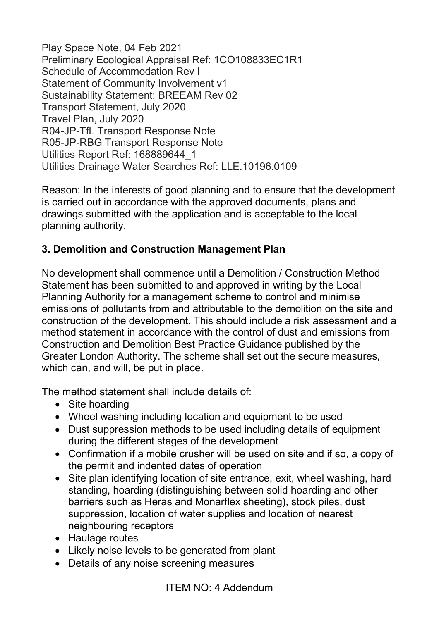Play Space Note, 04 Feb 2021 Preliminary Ecological Appraisal Ref: 1CO108833EC1R1 Schedule of Accommodation Rev I Statement of Community Involvement v1 Sustainability Statement: BREEAM Rev 02 Transport Statement, July 2020 Travel Plan, July 2020 R04-JP-TfL Transport Response Note R05-JP-RBG Transport Response Note Utilities Report Ref: 168889644\_1 Utilities Drainage Water Searches Ref: LLE.10196.0109

Reason: In the interests of good planning and to ensure that the development is carried out in accordance with the approved documents, plans and drawings submitted with the application and is acceptable to the local planning authority.

#### **3. Demolition and Construction Management Plan**

No development shall commence until a Demolition / Construction Method Statement has been submitted to and approved in writing by the Local Planning Authority for a management scheme to control and minimise emissions of pollutants from and attributable to the demolition on the site and construction of the development. This should include a risk assessment and a method statement in accordance with the control of dust and emissions from Construction and Demolition Best Practice Guidance published by the Greater London Authority. The scheme shall set out the secure measures, which can, and will, be put in place.

The method statement shall include details of:

- Site hoarding
- Wheel washing including location and equipment to be used
- Dust suppression methods to be used including details of equipment during the different stages of the development
- Confirmation if a mobile crusher will be used on site and if so, a copy of the permit and indented dates of operation
- Site plan identifying location of site entrance, exit, wheel washing, hard standing, hoarding (distinguishing between solid hoarding and other barriers such as Heras and Monarflex sheeting), stock piles, dust suppression, location of water supplies and location of nearest neighbouring receptors
- Haulage routes
- Likely noise levels to be generated from plant
- Details of any noise screening measures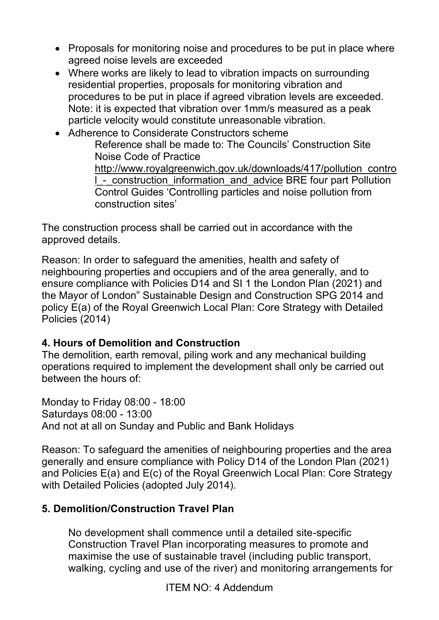- Proposals for monitoring noise and procedures to be put in place where agreed noise levels are exceeded
- Where works are likely to lead to vibration impacts on surrounding residential properties, proposals for monitoring vibration and procedures to be put in place if agreed vibration levels are exceeded. Note: it is expected that vibration over 1mm/s measured as a peak particle velocity would constitute unreasonable vibration.
- Adherence to Considerate Constructors scheme Reference shall be made to: The Councils' Construction Site Noise Code of Practice [http://www.royalgreenwich.gov.uk/downloads/417/pollution\\_contro](http://www.royalgreenwich.gov.uk/downloads/417/pollution_control_-_construction_information_and_advice) I - construction information and advice BRE four part Pollution Control Guides 'Controlling particles and noise pollution from construction sites'

The construction process shall be carried out in accordance with the approved details.

Reason: In order to safeguard the amenities, health and safety of neighbouring properties and occupiers and of the area generally, and to ensure compliance with Policies D14 and SI 1 the London Plan (2021) and the Mayor of London" Sustainable Design and Construction SPG 2014 and policy E(a) of the Royal Greenwich Local Plan: Core Strategy with Detailed Policies (2014)

#### **4. Hours of Demolition and Construction**

The demolition, earth removal, piling work and any mechanical building operations required to implement the development shall only be carried out between the hours of:

Monday to Friday 08:00 - 18:00 Saturdays 08:00 - 13:00 And not at all on Sunday and Public and Bank Holidays

Reason: To safeguard the amenities of neighbouring properties and the area generally and ensure compliance with Policy D14 of the London Plan (2021) and Policies E(a) and E(c) of the Royal Greenwich Local Plan: Core Strategy with Detailed Policies (adopted July 2014).

## **5. Demolition/Construction Travel Plan**

No development shall commence until a detailed site-specific Construction Travel Plan incorporating measures to promote and maximise the use of sustainable travel (including public transport, walking, cycling and use of the river) and monitoring arrangements for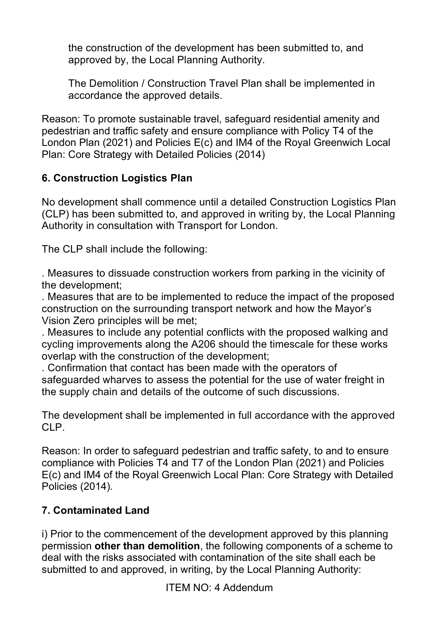the construction of the development has been submitted to, and approved by, the Local Planning Authority.

The Demolition / Construction Travel Plan shall be implemented in accordance the approved details.

Reason: To promote sustainable travel, safeguard residential amenity and pedestrian and traffic safety and ensure compliance with Policy T4 of the London Plan (2021) and Policies E(c) and IM4 of the Royal Greenwich Local Plan: Core Strategy with Detailed Policies (2014)

# **6. Construction Logistics Plan**

No development shall commence until a detailed Construction Logistics Plan (CLP) has been submitted to, and approved in writing by, the Local Planning Authority in consultation with Transport for London.

The CLP shall include the following:

. Measures to dissuade construction workers from parking in the vicinity of the development;

. Measures that are to be implemented to reduce the impact of the proposed construction on the surrounding transport network and how the Mayor's Vision Zero principles will be met;

. Measures to include any potential conflicts with the proposed walking and cycling improvements along the A206 should the timescale for these works overlap with the construction of the development;

. Confirmation that contact has been made with the operators of safeguarded wharves to assess the potential for the use of water freight in the supply chain and details of the outcome of such discussions.

The development shall be implemented in full accordance with the approved CLP.

Reason: In order to safeguard pedestrian and traffic safety, to and to ensure compliance with Policies T4 and T7 of the London Plan (2021) and Policies E(c) and IM4 of the Royal Greenwich Local Plan: Core Strategy with Detailed Policies (2014).

## **7. Contaminated Land**

i) Prior to the commencement of the development approved by this planning permission **other than demolition**, the following components of a scheme to deal with the risks associated with contamination of the site shall each be submitted to and approved, in writing, by the Local Planning Authority: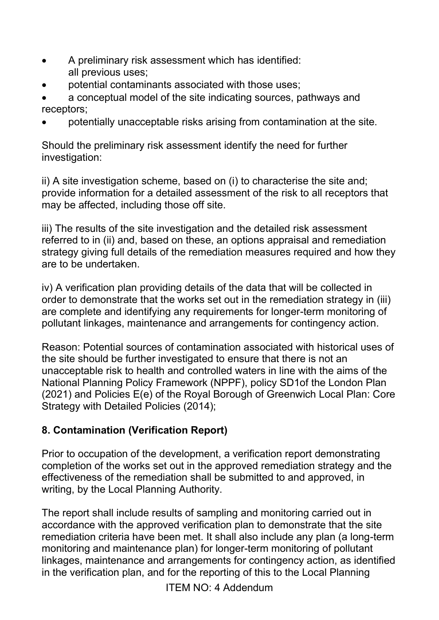- A preliminary risk assessment which has identified: all previous uses;
- potential contaminants associated with those uses;
- a conceptual model of the site indicating sources, pathways and receptors;
- potentially unacceptable risks arising from contamination at the site.

Should the preliminary risk assessment identify the need for further investigation:

ii) A site investigation scheme, based on (i) to characterise the site and; provide information for a detailed assessment of the risk to all receptors that may be affected, including those off site.

iii) The results of the site investigation and the detailed risk assessment referred to in (ii) and, based on these, an options appraisal and remediation strategy giving full details of the remediation measures required and how they are to be undertaken.

iv) A verification plan providing details of the data that will be collected in order to demonstrate that the works set out in the remediation strategy in (iii) are complete and identifying any requirements for longer-term monitoring of pollutant linkages, maintenance and arrangements for contingency action.

Reason: Potential sources of contamination associated with historical uses of the site should be further investigated to ensure that there is not an unacceptable risk to health and controlled waters in line with the aims of the National Planning Policy Framework (NPPF), policy SD1of the London Plan (2021) and Policies E(e) of the Royal Borough of Greenwich Local Plan: Core Strategy with Detailed Policies (2014);

## **8. Contamination (Verification Report)**

Prior to occupation of the development, a verification report demonstrating completion of the works set out in the approved remediation strategy and the effectiveness of the remediation shall be submitted to and approved, in writing, by the Local Planning Authority.

The report shall include results of sampling and monitoring carried out in accordance with the approved verification plan to demonstrate that the site remediation criteria have been met. It shall also include any plan (a long-term monitoring and maintenance plan) for longer-term monitoring of pollutant linkages, maintenance and arrangements for contingency action, as identified in the verification plan, and for the reporting of this to the Local Planning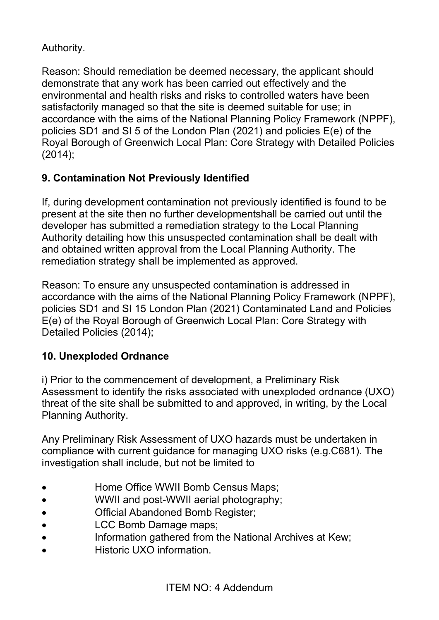## Authority.

Reason: Should remediation be deemed necessary, the applicant should demonstrate that any work has been carried out effectively and the environmental and health risks and risks to controlled waters have been satisfactorily managed so that the site is deemed suitable for use; in accordance with the aims of the National Planning Policy Framework (NPPF), policies SD1 and SI 5 of the London Plan (2021) and policies E(e) of the Royal Borough of Greenwich Local Plan: Core Strategy with Detailed Policies (2014);

# **9. Contamination Not Previously Identified**

If, during development contamination not previously identified is found to be present at the site then no further developmentshall be carried out until the developer has submitted a remediation strategy to the Local Planning Authority detailing how this unsuspected contamination shall be dealt with and obtained written approval from the Local Planning Authority. The remediation strategy shall be implemented as approved.

Reason: To ensure any unsuspected contamination is addressed in accordance with the aims of the National Planning Policy Framework (NPPF), policies SD1 and SI 15 London Plan (2021) Contaminated Land and Policies E(e) of the Royal Borough of Greenwich Local Plan: Core Strategy with Detailed Policies (2014);

# **10. Unexploded Ordnance**

i) Prior to the commencement of development, a Preliminary Risk Assessment to identify the risks associated with unexploded ordnance (UXO) threat of the site shall be submitted to and approved, in writing, by the Local Planning Authority.

Any Preliminary Risk Assessment of UXO hazards must be undertaken in compliance with current guidance for managing UXO risks (e.g.C681). The investigation shall include, but not be limited to

- **Home Office WWII Bomb Census Maps:**
- WWII and post-WWII aerial photography;
- **Official Abandoned Bomb Register:**
- LCC Bomb Damage maps;
- Information gathered from the National Archives at Kew;
- Historic UXO information.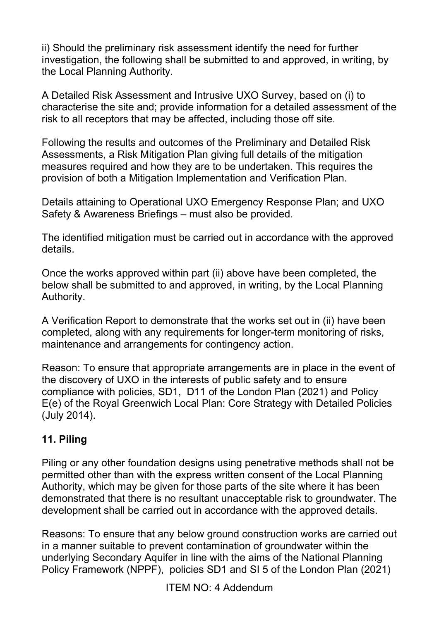ii) Should the preliminary risk assessment identify the need for further investigation, the following shall be submitted to and approved, in writing, by the Local Planning Authority.

A Detailed Risk Assessment and Intrusive UXO Survey, based on (i) to characterise the site and; provide information for a detailed assessment of the risk to all receptors that may be affected, including those off site.

Following the results and outcomes of the Preliminary and Detailed Risk Assessments, a Risk Mitigation Plan giving full details of the mitigation measures required and how they are to be undertaken. This requires the provision of both a Mitigation Implementation and Verification Plan.

Details attaining to Operational UXO Emergency Response Plan; and UXO Safety & Awareness Briefings – must also be provided.

The identified mitigation must be carried out in accordance with the approved details.

Once the works approved within part (ii) above have been completed, the below shall be submitted to and approved, in writing, by the Local Planning Authority.

A Verification Report to demonstrate that the works set out in (ii) have been completed, along with any requirements for longer-term monitoring of risks, maintenance and arrangements for contingency action.

Reason: To ensure that appropriate arrangements are in place in the event of the discovery of UXO in the interests of public safety and to ensure compliance with policies, SD1, D11 of the London Plan (2021) and Policy E(e) of the Royal Greenwich Local Plan: Core Strategy with Detailed Policies (July 2014).

# **11. Piling**

Piling or any other foundation designs using penetrative methods shall not be permitted other than with the express written consent of the Local Planning Authority, which may be given for those parts of the site where it has been demonstrated that there is no resultant unacceptable risk to groundwater. The development shall be carried out in accordance with the approved details.

Reasons: To ensure that any below ground construction works are carried out in a manner suitable to prevent contamination of groundwater within the underlying Secondary Aquifer in line with the aims of the National Planning Policy Framework (NPPF), policies SD1 and SI 5 of the London Plan (2021)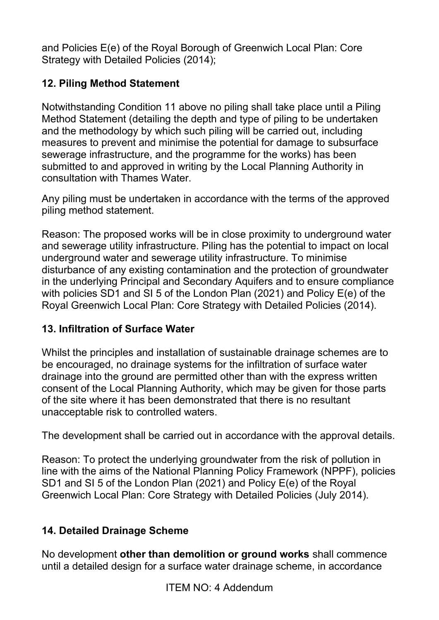and Policies E(e) of the Royal Borough of Greenwich Local Plan: Core Strategy with Detailed Policies (2014);

# **12. Piling Method Statement**

Notwithstanding Condition 11 above no piling shall take place until a Piling Method Statement (detailing the depth and type of piling to be undertaken and the methodology by which such piling will be carried out, including measures to prevent and minimise the potential for damage to subsurface sewerage infrastructure, and the programme for the works) has been submitted to and approved in writing by the Local Planning Authority in consultation with Thames Water.

Any piling must be undertaken in accordance with the terms of the approved piling method statement.

Reason: The proposed works will be in close proximity to underground water and sewerage utility infrastructure. Piling has the potential to impact on local underground water and sewerage utility infrastructure. To minimise disturbance of any existing contamination and the protection of groundwater in the underlying Principal and Secondary Aquifers and to ensure compliance with policies SD1 and SI 5 of the London Plan (2021) and Policy E(e) of the Royal Greenwich Local Plan: Core Strategy with Detailed Policies (2014).

## **13. Infiltration of Surface Water**

Whilst the principles and installation of sustainable drainage schemes are to be encouraged, no drainage systems for the infiltration of surface water drainage into the ground are permitted other than with the express written consent of the Local Planning Authority, which may be given for those parts of the site where it has been demonstrated that there is no resultant unacceptable risk to controlled waters.

The development shall be carried out in accordance with the approval details.

Reason: To protect the underlying groundwater from the risk of pollution in line with the aims of the National Planning Policy Framework (NPPF), policies SD1 and SI 5 of the London Plan (2021) and Policy E(e) of the Royal Greenwich Local Plan: Core Strategy with Detailed Policies (July 2014).

## **14. Detailed Drainage Scheme**

No development **other than demolition or ground works** shall commence until a detailed design for a surface water drainage scheme, in accordance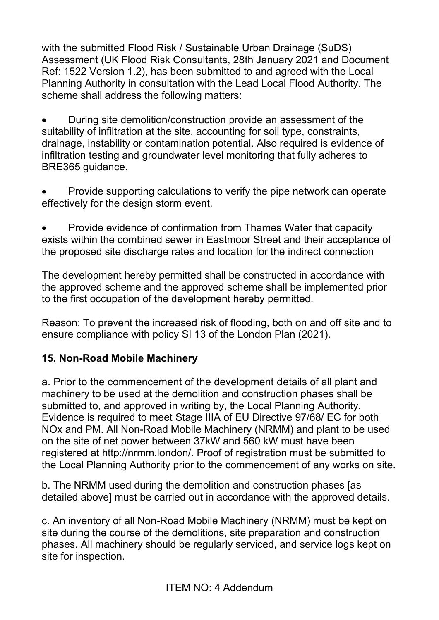with the submitted Flood Risk / Sustainable Urban Drainage (SuDS) Assessment (UK Flood Risk Consultants, 28th January 2021 and Document Ref: 1522 Version 1.2), has been submitted to and agreed with the Local Planning Authority in consultation with the Lead Local Flood Authority. The scheme shall address the following matters:

• During site demolition/construction provide an assessment of the suitability of infiltration at the site, accounting for soil type, constraints, drainage, instability or contamination potential. Also required is evidence of infiltration testing and groundwater level monitoring that fully adheres to BRE365 guidance.

• Provide supporting calculations to verify the pipe network can operate effectively for the design storm event.

• Provide evidence of confirmation from Thames Water that capacity exists within the combined sewer in Eastmoor Street and their acceptance of the proposed site discharge rates and location for the indirect connection

The development hereby permitted shall be constructed in accordance with the approved scheme and the approved scheme shall be implemented prior to the first occupation of the development hereby permitted.

Reason: To prevent the increased risk of flooding, both on and off site and to ensure compliance with policy SI 13 of the London Plan (2021).

# **15. Non-Road Mobile Machinery**

a. Prior to the commencement of the development details of all plant and machinery to be used at the demolition and construction phases shall be submitted to, and approved in writing by, the Local Planning Authority. Evidence is required to meet Stage IIIA of EU Directive 97/68/ EC for both NOx and PM. All Non-Road Mobile Machinery (NRMM) and plant to be used on the site of net power between 37kW and 560 kW must have been registered at [http://nrmm.london/.](http://nrmm.london/) Proof of registration must be submitted to the Local Planning Authority prior to the commencement of any works on site.

b. The NRMM used during the demolition and construction phases [as detailed above] must be carried out in accordance with the approved details.

c. An inventory of all Non-Road Mobile Machinery (NRMM) must be kept on site during the course of the demolitions, site preparation and construction phases. All machinery should be regularly serviced, and service logs kept on site for inspection.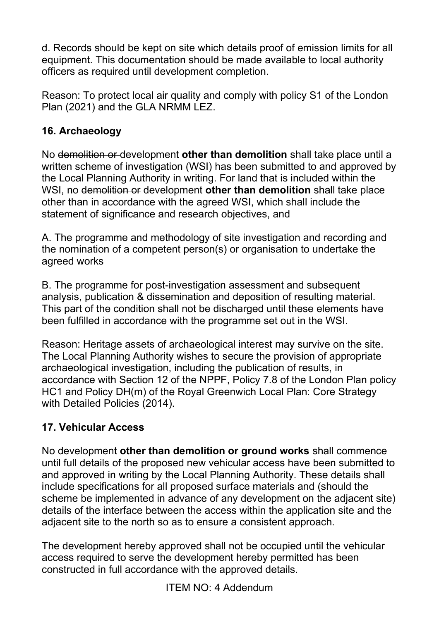d. Records should be kept on site which details proof of emission limits for all equipment. This documentation should be made available to local authority officers as required until development completion.

Reason: To protect local air quality and comply with policy S1 of the London Plan (2021) and the GLA NRMM LEZ.

## **16. Archaeology**

No demolition or development **other than demolition** shall take place until a written scheme of investigation (WSI) has been submitted to and approved by the Local Planning Authority in writing. For land that is included within the WSI, no demolition or development **other than demolition** shall take place other than in accordance with the agreed WSI, which shall include the statement of significance and research objectives, and

A. The programme and methodology of site investigation and recording and the nomination of a competent person(s) or organisation to undertake the agreed works

B. The programme for post-investigation assessment and subsequent analysis, publication & dissemination and deposition of resulting material. This part of the condition shall not be discharged until these elements have been fulfilled in accordance with the programme set out in the WSI.

Reason: Heritage assets of archaeological interest may survive on the site. The Local Planning Authority wishes to secure the provision of appropriate archaeological investigation, including the publication of results, in accordance with Section 12 of the NPPF, Policy 7.8 of the London Plan policy HC1 and Policy DH(m) of the Royal Greenwich Local Plan: Core Strategy with Detailed Policies (2014).

## **17. Vehicular Access**

No development **other than demolition or ground works** shall commence until full details of the proposed new vehicular access have been submitted to and approved in writing by the Local Planning Authority. These details shall include specifications for all proposed surface materials and (should the scheme be implemented in advance of any development on the adjacent site) details of the interface between the access within the application site and the adjacent site to the north so as to ensure a consistent approach.

The development hereby approved shall not be occupied until the vehicular access required to serve the development hereby permitted has been constructed in full accordance with the approved details.

ITEM NO: 4 Addendum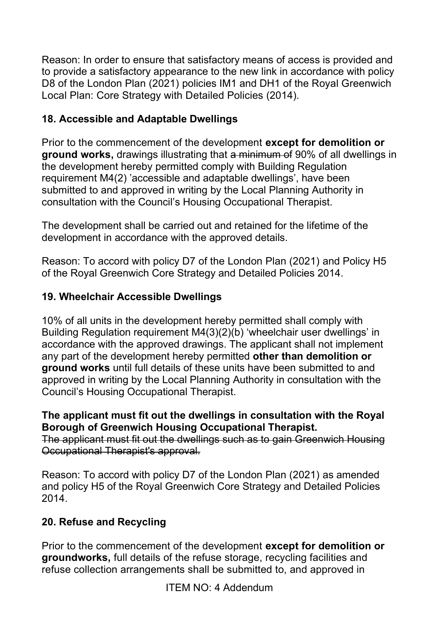Reason: In order to ensure that satisfactory means of access is provided and to provide a satisfactory appearance to the new link in accordance with policy D8 of the London Plan (2021) policies IM1 and DH1 of the Royal Greenwich Local Plan: Core Strategy with Detailed Policies (2014).

# **18. Accessible and Adaptable Dwellings**

Prior to the commencement of the development **except for demolition or ground works,** drawings illustrating that a minimum of 90% of all dwellings in the development hereby permitted comply with Building Regulation requirement M4(2) 'accessible and adaptable dwellings', have been submitted to and approved in writing by the Local Planning Authority in consultation with the Council's Housing Occupational Therapist.

The development shall be carried out and retained for the lifetime of the development in accordance with the approved details.

Reason: To accord with policy D7 of the London Plan (2021) and Policy H5 of the Royal Greenwich Core Strategy and Detailed Policies 2014.

## **19. Wheelchair Accessible Dwellings**

10% of all units in the development hereby permitted shall comply with Building Regulation requirement M4(3)(2)(b) 'wheelchair user dwellings' in accordance with the approved drawings. The applicant shall not implement any part of the development hereby permitted **other than demolition or ground works** until full details of these units have been submitted to and approved in writing by the Local Planning Authority in consultation with the Council's Housing Occupational Therapist.

#### **The applicant must fit out the dwellings in consultation with the Royal Borough of Greenwich Housing Occupational Therapist.**

The applicant must fit out the dwellings such as to gain Greenwich Housing Occupational Therapist's approval.

Reason: To accord with policy D7 of the London Plan (2021) as amended and policy H5 of the Royal Greenwich Core Strategy and Detailed Policies 2014.

## **20. Refuse and Recycling**

Prior to the commencement of the development **except for demolition or groundworks,** full details of the refuse storage, recycling facilities and refuse collection arrangements shall be submitted to, and approved in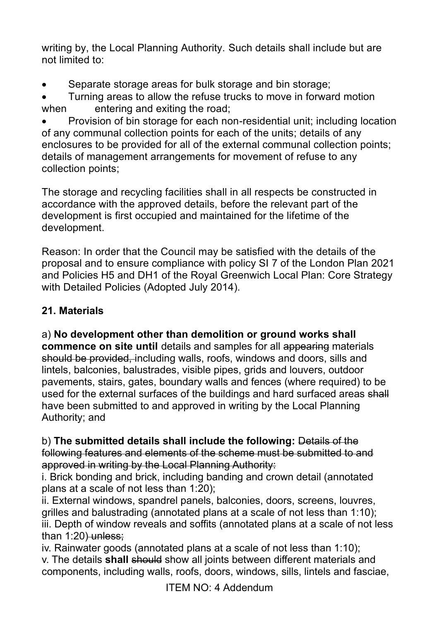writing by, the Local Planning Authority. Such details shall include but are not limited to:

Separate storage areas for bulk storage and bin storage;

• Turning areas to allow the refuse trucks to move in forward motion when entering and exiting the road;

• Provision of bin storage for each non-residential unit; including location of any communal collection points for each of the units; details of any enclosures to be provided for all of the external communal collection points; details of management arrangements for movement of refuse to any collection points;

The storage and recycling facilities shall in all respects be constructed in accordance with the approved details, before the relevant part of the development is first occupied and maintained for the lifetime of the development.

Reason: In order that the Council may be satisfied with the details of the proposal and to ensure compliance with policy SI 7 of the London Plan 2021 and Policies H5 and DH1 of the Royal Greenwich Local Plan: Core Strategy with Detailed Policies (Adopted July 2014).

# **21. Materials**

a) **No development other than demolition or ground works shall commence on site until** details and samples for all appearing materials should be provided, including walls, roofs, windows and doors, sills and lintels, balconies, balustrades, visible pipes, grids and louvers, outdoor pavements, stairs, gates, boundary walls and fences (where required) to be used for the external surfaces of the buildings and hard surfaced areas shall have been submitted to and approved in writing by the Local Planning Authority; and

b) **The submitted details shall include the following:** Details of the following features and elements of the scheme must be submitted to and approved in writing by the Local Planning Authority:

i. Brick bonding and brick, including banding and crown detail (annotated plans at a scale of not less than 1:20);

ii. External windows, spandrel panels, balconies, doors, screens, louvres, grilles and balustrading (annotated plans at a scale of not less than 1:10); iii. Depth of window reveals and soffits (annotated plans at a scale of not less than  $1:20$ ) unless:

iv. Rainwater goods (annotated plans at a scale of not less than 1:10); v. The details **shall** should show all joints between different materials and components, including walls, roofs, doors, windows, sills, lintels and fasciae,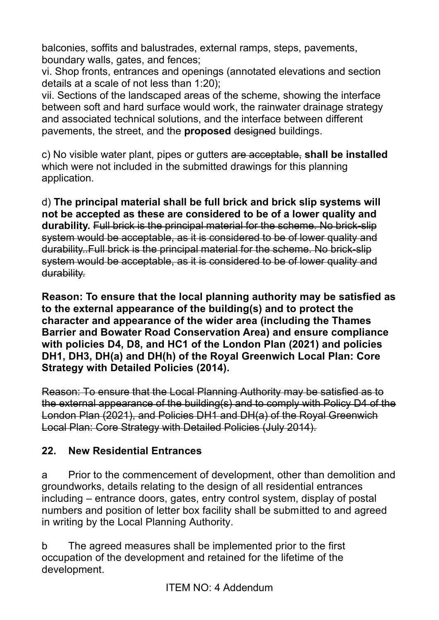balconies, soffits and balustrades, external ramps, steps, pavements, boundary walls, gates, and fences;

vi. Shop fronts, entrances and openings (annotated elevations and section details at a scale of not less than 1:20);

vii. Sections of the landscaped areas of the scheme, showing the interface between soft and hard surface would work, the rainwater drainage strategy and associated technical solutions, and the interface between different pavements, the street, and the **proposed** designed buildings.

c) No visible water plant, pipes or gutters are acceptable, **shall be installed** which were not included in the submitted drawings for this planning application.

d) **The principal material shall be full brick and brick slip systems will not be accepted as these are considered to be of a lower quality and durability.** Full brick is the principal material for the scheme. No brick-slip system would be acceptable, as it is considered to be of lower quality and durability..Full brick is the principal material for the scheme. No brick-slip system would be acceptable, as it is considered to be of lower quality and durability.

**Reason: To ensure that the local planning authority may be satisfied as to the external appearance of the building(s) and to protect the character and appearance of the wider area (including the Thames Barrier and Bowater Road Conservation Area) and ensure compliance with policies D4, D8, and HC1 of the London Plan (2021) and policies DH1, DH3, DH(a) and DH(h) of the Royal Greenwich Local Plan: Core Strategy with Detailed Policies (2014).**

Reason: To ensure that the Local Planning Authority may be satisfied as to the external appearance of the building(s) and to comply with Policy D4 of the London Plan (2021), and Policies DH1 and DH(a) of the Royal Greenwich Local Plan: Core Strategy with Detailed Policies (July 2014).

## **22. New Residential Entrances**

a Prior to the commencement of development, other than demolition and groundworks, details relating to the design of all residential entrances including – entrance doors, gates, entry control system, display of postal numbers and position of letter box facility shall be submitted to and agreed in writing by the Local Planning Authority.

b The agreed measures shall be implemented prior to the first occupation of the development and retained for the lifetime of the development.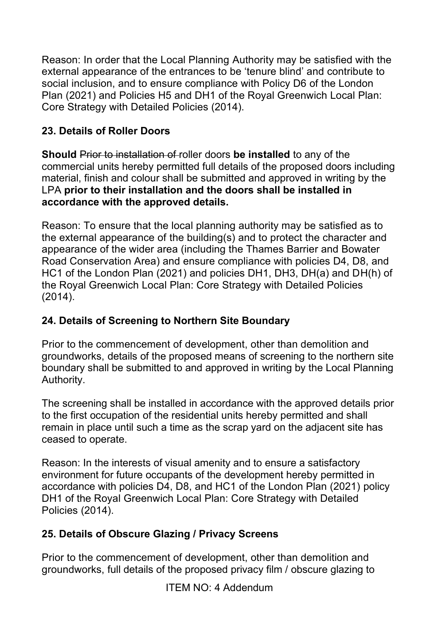Reason: In order that the Local Planning Authority may be satisfied with the external appearance of the entrances to be 'tenure blind' and contribute to social inclusion, and to ensure compliance with Policy D6 of the London Plan (2021) and Policies H5 and DH1 of the Royal Greenwich Local Plan: Core Strategy with Detailed Policies (2014).

## **23. Details of Roller Doors**

**Should** Prior to installation of roller doors **be installed** to any of the commercial units hereby permitted full details of the proposed doors including material, finish and colour shall be submitted and approved in writing by the LPA **prior to their installation and the doors shall be installed in accordance with the approved details.**

Reason: To ensure that the local planning authority may be satisfied as to the external appearance of the building(s) and to protect the character and appearance of the wider area (including the Thames Barrier and Bowater Road Conservation Area) and ensure compliance with policies D4, D8, and HC1 of the London Plan (2021) and policies DH1, DH3, DH(a) and DH(h) of the Royal Greenwich Local Plan: Core Strategy with Detailed Policies (2014).

## **24. Details of Screening to Northern Site Boundary**

Prior to the commencement of development, other than demolition and groundworks, details of the proposed means of screening to the northern site boundary shall be submitted to and approved in writing by the Local Planning Authority.

The screening shall be installed in accordance with the approved details prior to the first occupation of the residential units hereby permitted and shall remain in place until such a time as the scrap yard on the adjacent site has ceased to operate.

Reason: In the interests of visual amenity and to ensure a satisfactory environment for future occupants of the development hereby permitted in accordance with policies D4, D8, and HC1 of the London Plan (2021) policy DH1 of the Royal Greenwich Local Plan: Core Strategy with Detailed Policies (2014).

# **25. Details of Obscure Glazing / Privacy Screens**

Prior to the commencement of development, other than demolition and groundworks, full details of the proposed privacy film / obscure glazing to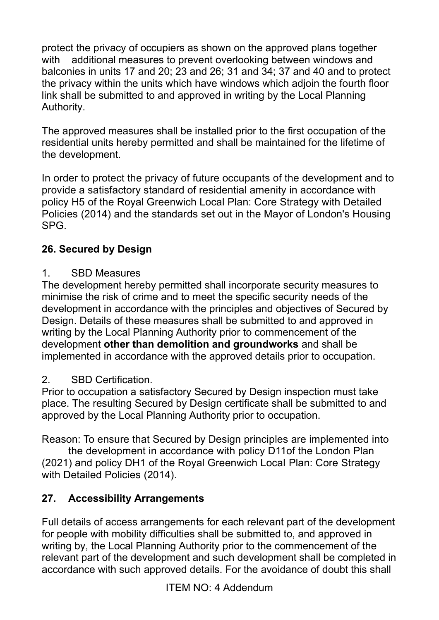protect the privacy of occupiers as shown on the approved plans together with additional measures to prevent overlooking between windows and balconies in units 17 and 20; 23 and 26; 31 and 34; 37 and 40 and to protect the privacy within the units which have windows which adjoin the fourth floor link shall be submitted to and approved in writing by the Local Planning Authority.

The approved measures shall be installed prior to the first occupation of the residential units hereby permitted and shall be maintained for the lifetime of the development.

In order to protect the privacy of future occupants of the development and to provide a satisfactory standard of residential amenity in accordance with policy H5 of the Royal Greenwich Local Plan: Core Strategy with Detailed Policies (2014) and the standards set out in the Mayor of London's Housing SPG.

# **26. Secured by Design**

#### 1. SBD Measures

The development hereby permitted shall incorporate security measures to minimise the risk of crime and to meet the specific security needs of the development in accordance with the principles and objectives of Secured by Design. Details of these measures shall be submitted to and approved in writing by the Local Planning Authority prior to commencement of the development **other than demolition and groundworks** and shall be implemented in accordance with the approved details prior to occupation.

## 2. SBD Certification.

Prior to occupation a satisfactory Secured by Design inspection must take place. The resulting Secured by Design certificate shall be submitted to and approved by the Local Planning Authority prior to occupation.

Reason: To ensure that Secured by Design principles are implemented into

 the development in accordance with policy D11of the London Plan (2021) and policy DH1 of the Royal Greenwich Local Plan: Core Strategy with Detailed Policies (2014).

# **27. Accessibility Arrangements**

Full details of access arrangements for each relevant part of the development for people with mobility difficulties shall be submitted to, and approved in writing by, the Local Planning Authority prior to the commencement of the relevant part of the development and such development shall be completed in accordance with such approved details. For the avoidance of doubt this shall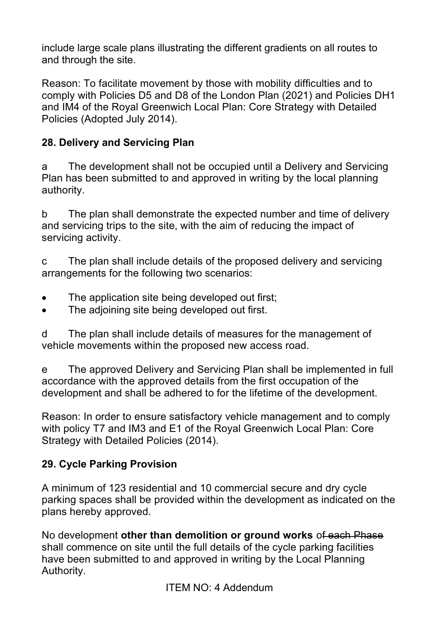include large scale plans illustrating the different gradients on all routes to and through the site.

Reason: To facilitate movement by those with mobility difficulties and to comply with Policies D5 and D8 of the London Plan (2021) and Policies DH1 and IM4 of the Royal Greenwich Local Plan: Core Strategy with Detailed Policies (Adopted July 2014).

## **28. Delivery and Servicing Plan**

a The development shall not be occupied until a Delivery and Servicing Plan has been submitted to and approved in writing by the local planning authority.

b The plan shall demonstrate the expected number and time of delivery and servicing trips to the site, with the aim of reducing the impact of servicing activity.

c The plan shall include details of the proposed delivery and servicing arrangements for the following two scenarios:

- The application site being developed out first:
- The adjoining site being developed out first.

d The plan shall include details of measures for the management of vehicle movements within the proposed new access road.

e The approved Delivery and Servicing Plan shall be implemented in full accordance with the approved details from the first occupation of the development and shall be adhered to for the lifetime of the development.

Reason: In order to ensure satisfactory vehicle management and to comply with policy T7 and IM3 and E1 of the Royal Greenwich Local Plan: Core Strategy with Detailed Policies (2014).

## **29. Cycle Parking Provision**

A minimum of 123 residential and 10 commercial secure and dry cycle parking spaces shall be provided within the development as indicated on the plans hereby approved.

No development **other than demolition or ground works** of each Phase shall commence on site until the full details of the cycle parking facilities have been submitted to and approved in writing by the Local Planning Authority.

ITEM NO: 4 Addendum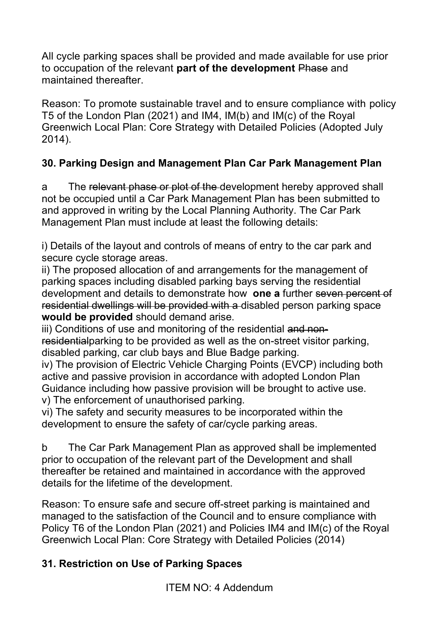All cycle parking spaces shall be provided and made available for use prior to occupation of the relevant **part of the development** Phase and maintained thereafter.

Reason: To promote sustainable travel and to ensure compliance with policy T5 of the London Plan (2021) and IM4, IM(b) and IM(c) of the Royal Greenwich Local Plan: Core Strategy with Detailed Policies (Adopted July 2014).

# **30. Parking Design and Management Plan Car Park Management Plan**

a The relevant phase or plot of the development hereby approved shall not be occupied until a Car Park Management Plan has been submitted to and approved in writing by the Local Planning Authority. The Car Park Management Plan must include at least the following details:

i) Details of the layout and controls of means of entry to the car park and secure cycle storage areas.

ii) The proposed allocation of and arrangements for the management of parking spaces including disabled parking bays serving the residential development and details to demonstrate how **one a** further seven percent of residential dwellings will be provided with a disabled person parking space **would be provided** should demand arise.

iii) Conditions of use and monitoring of the residential and nonresidentialparking to be provided as well as the on-street visitor parking, disabled parking, car club bays and Blue Badge parking.

iv) The provision of Electric Vehicle Charging Points (EVCP) including both active and passive provision in accordance with adopted London Plan Guidance including how passive provision will be brought to active use. v) The enforcement of unauthorised parking.

vi) The safety and security measures to be incorporated within the development to ensure the safety of car/cycle parking areas.

b The Car Park Management Plan as approved shall be implemented prior to occupation of the relevant part of the Development and shall thereafter be retained and maintained in accordance with the approved details for the lifetime of the development.

Reason: To ensure safe and secure off-street parking is maintained and managed to the satisfaction of the Council and to ensure compliance with Policy T6 of the London Plan (2021) and Policies IM4 and IM(c) of the Royal Greenwich Local Plan: Core Strategy with Detailed Policies (2014)

# **31. Restriction on Use of Parking Spaces**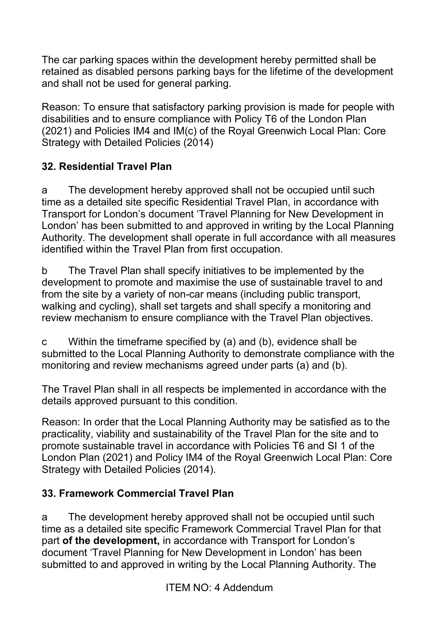The car parking spaces within the development hereby permitted shall be retained as disabled persons parking bays for the lifetime of the development and shall not be used for general parking.

Reason: To ensure that satisfactory parking provision is made for people with disabilities and to ensure compliance with Policy T6 of the London Plan (2021) and Policies IM4 and IM(c) of the Royal Greenwich Local Plan: Core Strategy with Detailed Policies (2014)

## **32. Residential Travel Plan**

a The development hereby approved shall not be occupied until such time as a detailed site specific Residential Travel Plan, in accordance with Transport for London's document 'Travel Planning for New Development in London' has been submitted to and approved in writing by the Local Planning Authority. The development shall operate in full accordance with all measures identified within the Travel Plan from first occupation.

b The Travel Plan shall specify initiatives to be implemented by the development to promote and maximise the use of sustainable travel to and from the site by a variety of non-car means (including public transport, walking and cycling), shall set targets and shall specify a monitoring and review mechanism to ensure compliance with the Travel Plan objectives.

c Within the timeframe specified by (a) and (b), evidence shall be submitted to the Local Planning Authority to demonstrate compliance with the monitoring and review mechanisms agreed under parts (a) and (b).

The Travel Plan shall in all respects be implemented in accordance with the details approved pursuant to this condition.

Reason: In order that the Local Planning Authority may be satisfied as to the practicality, viability and sustainability of the Travel Plan for the site and to promote sustainable travel in accordance with Policies T6 and SI 1 of the London Plan (2021) and Policy IM4 of the Royal Greenwich Local Plan: Core Strategy with Detailed Policies (2014).

## **33. Framework Commercial Travel Plan**

a The development hereby approved shall not be occupied until such time as a detailed site specific Framework Commercial Travel Plan for that part **of the development,** in accordance with Transport for London's document 'Travel Planning for New Development in London' has been submitted to and approved in writing by the Local Planning Authority. The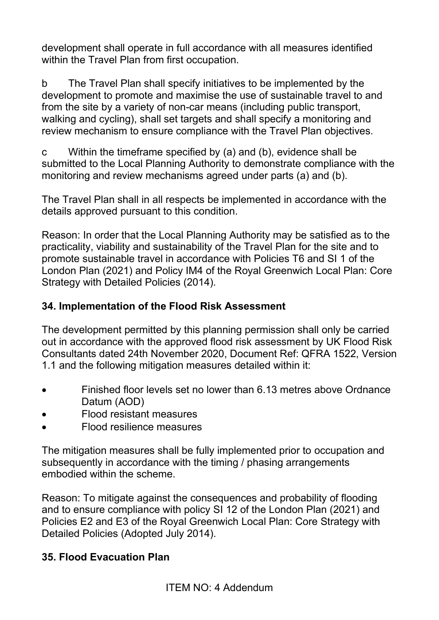development shall operate in full accordance with all measures identified within the Travel Plan from first occupation.

b The Travel Plan shall specify initiatives to be implemented by the development to promote and maximise the use of sustainable travel to and from the site by a variety of non-car means (including public transport, walking and cycling), shall set targets and shall specify a monitoring and review mechanism to ensure compliance with the Travel Plan objectives.

c Within the timeframe specified by (a) and (b), evidence shall be submitted to the Local Planning Authority to demonstrate compliance with the monitoring and review mechanisms agreed under parts (a) and (b).

The Travel Plan shall in all respects be implemented in accordance with the details approved pursuant to this condition.

Reason: In order that the Local Planning Authority may be satisfied as to the practicality, viability and sustainability of the Travel Plan for the site and to promote sustainable travel in accordance with Policies T6 and SI 1 of the London Plan (2021) and Policy IM4 of the Royal Greenwich Local Plan: Core Strategy with Detailed Policies (2014).

## **34. Implementation of the Flood Risk Assessment**

The development permitted by this planning permission shall only be carried out in accordance with the approved flood risk assessment by UK Flood Risk Consultants dated 24th November 2020, Document Ref: QFRA 1522, Version 1.1 and the following mitigation measures detailed within it:

- Finished floor levels set no lower than 6.13 metres above Ordnance Datum (AOD)
- Flood resistant measures
- Flood resilience measures

The mitigation measures shall be fully implemented prior to occupation and subsequently in accordance with the timing / phasing arrangements embodied within the scheme.

Reason: To mitigate against the consequences and probability of flooding and to ensure compliance with policy SI 12 of the London Plan (2021) and Policies E2 and E3 of the Royal Greenwich Local Plan: Core Strategy with Detailed Policies (Adopted July 2014).

## **35. Flood Evacuation Plan**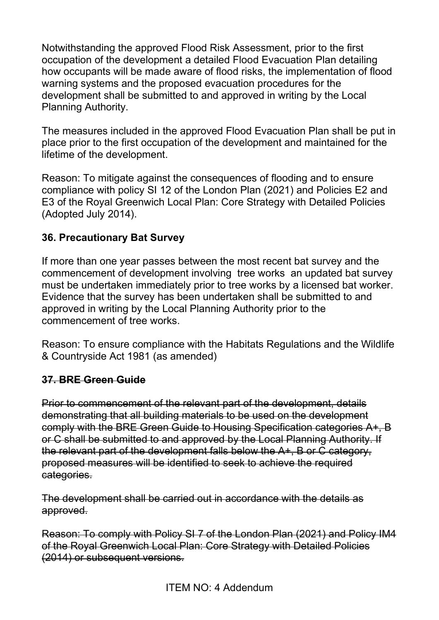Notwithstanding the approved Flood Risk Assessment, prior to the first occupation of the development a detailed Flood Evacuation Plan detailing how occupants will be made aware of flood risks, the implementation of flood warning systems and the proposed evacuation procedures for the development shall be submitted to and approved in writing by the Local Planning Authority.

The measures included in the approved Flood Evacuation Plan shall be put in place prior to the first occupation of the development and maintained for the lifetime of the development.

Reason: To mitigate against the consequences of flooding and to ensure compliance with policy SI 12 of the London Plan (2021) and Policies E2 and E3 of the Royal Greenwich Local Plan: Core Strategy with Detailed Policies (Adopted July 2014).

#### **36. Precautionary Bat Survey**

If more than one year passes between the most recent bat survey and the commencement of development involving tree works an updated bat survey must be undertaken immediately prior to tree works by a licensed bat worker. Evidence that the survey has been undertaken shall be submitted to and approved in writing by the Local Planning Authority prior to the commencement of tree works.

Reason: To ensure compliance with the Habitats Regulations and the Wildlife & Countryside Act 1981 (as amended)

#### **37. BRE Green Guide**

Prior to commencement of the relevant part of the development, details demonstrating that all building materials to be used on the development comply with the BRE Green Guide to Housing Specification categories A+, B or C shall be submitted to and approved by the Local Planning Authority. If the relevant part of the development falls below the A+, B or C category, proposed measures will be identified to seek to achieve the required categories.

The development shall be carried out in accordance with the details as approved.

Reason: To comply with Policy SI 7 of the London Plan (2021) and Policy IM4 of the Royal Greenwich Local Plan: Core Strategy with Detailed Policies (2014) or subsequent versions.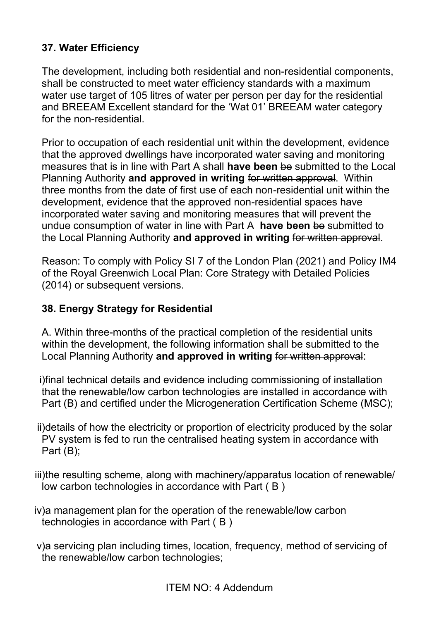## **37. Water Efficiency**

The development, including both residential and non-residential components, shall be constructed to meet water efficiency standards with a maximum water use target of 105 litres of water per person per day for the residential and BREEAM Excellent standard for the 'Wat 01' BREEAM water category for the non-residential.

Prior to occupation of each residential unit within the development, evidence that the approved dwellings have incorporated water saving and monitoring measures that is in line with Part A shall **have been** be submitted to the Local Planning Authority **and approved in writing** for written approval. Within three months from the date of first use of each non-residential unit within the development, evidence that the approved non-residential spaces have incorporated water saving and monitoring measures that will prevent the undue consumption of water in line with Part A **have been** be submitted to the Local Planning Authority **and approved in writing** for written approval.

Reason: To comply with Policy SI 7 of the London Plan (2021) and Policy IM4 of the Royal Greenwich Local Plan: Core Strategy with Detailed Policies (2014) or subsequent versions.

#### **38. Energy Strategy for Residential**

A. Within three-months of the practical completion of the residential units within the development, the following information shall be submitted to the Local Planning Authority **and approved in writing** for written approval:

i)final technical details and evidence including commissioning of installation that the renewable/low carbon technologies are installed in accordance with Part (B) and certified under the Microgeneration Certification Scheme (MSC);

ii)details of how the electricity or proportion of electricity produced by the solar PV system is fed to run the centralised heating system in accordance with Part (B);

iii)the resulting scheme, along with machinery/apparatus location of renewable/ low carbon technologies in accordance with Part ( B )

- iv)a management plan for the operation of the renewable/low carbon technologies in accordance with Part ( B )
- v)a servicing plan including times, location, frequency, method of servicing of the renewable/low carbon technologies;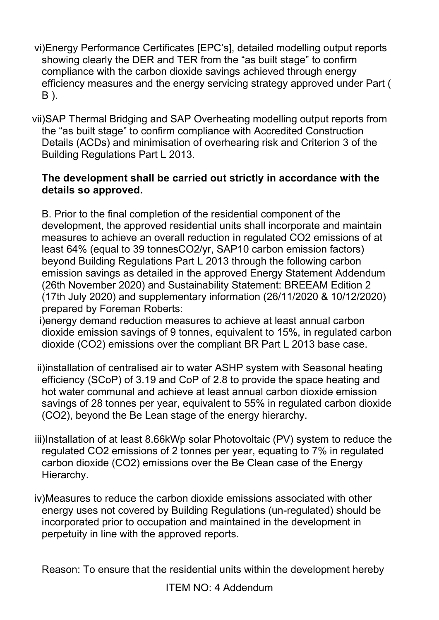- vi)Energy Performance Certificates [EPC's], detailed modelling output reports showing clearly the DER and TER from the "as built stage" to confirm compliance with the carbon dioxide savings achieved through energy efficiency measures and the energy servicing strategy approved under Part ( B ).
- vii)SAP Thermal Bridging and SAP Overheating modelling output reports from the "as built stage" to confirm compliance with Accredited Construction Details (ACDs) and minimisation of overhearing risk and Criterion 3 of the Building Regulations Part L 2013.

#### **The development shall be carried out strictly in accordance with the details so approved.**

B. Prior to the final completion of the residential component of the development, the approved residential units shall incorporate and maintain measures to achieve an overall reduction in regulated CO2 emissions of at least 64% (equal to 39 tonnesCO2/yr, SAP10 carbon emission factors) beyond Building Regulations Part L 2013 through the following carbon emission savings as detailed in the approved Energy Statement Addendum (26th November 2020) and Sustainability Statement: BREEAM Edition 2 (17th July 2020) and supplementary information (26/11/2020 & 10/12/2020) prepared by Foreman Roberts:

i)energy demand reduction measures to achieve at least annual carbon dioxide emission savings of 9 tonnes, equivalent to 15%, in regulated carbon dioxide (CO2) emissions over the compliant BR Part L 2013 base case.

ii)installation of centralised air to water ASHP system with Seasonal heating efficiency (SCoP) of 3.19 and CoP of 2.8 to provide the space heating and hot water communal and achieve at least annual carbon dioxide emission savings of 28 tonnes per year, equivalent to 55% in regulated carbon dioxide (CO2), beyond the Be Lean stage of the energy hierarchy.

- iii)Installation of at least 8.66kWp solar Photovoltaic (PV) system to reduce the regulated CO2 emissions of 2 tonnes per year, equating to 7% in regulated carbon dioxide (CO2) emissions over the Be Clean case of the Energy Hierarchy.
- iv)Measures to reduce the carbon dioxide emissions associated with other energy uses not covered by Building Regulations (un-regulated) should be incorporated prior to occupation and maintained in the development in perpetuity in line with the approved reports.

Reason: To ensure that the residential units within the development hereby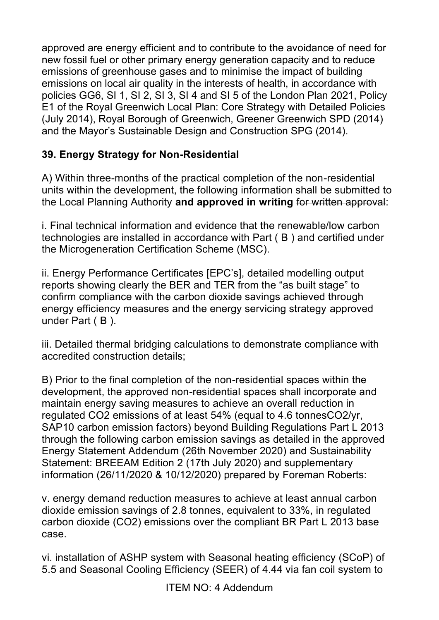approved are energy efficient and to contribute to the avoidance of need for new fossil fuel or other primary energy generation capacity and to reduce emissions of greenhouse gases and to minimise the impact of building emissions on local air quality in the interests of health, in accordance with policies GG6, SI 1, SI 2, SI 3, SI 4 and SI 5 of the London Plan 2021, Policy E1 of the Royal Greenwich Local Plan: Core Strategy with Detailed Policies (July 2014), Royal Borough of Greenwich, Greener Greenwich SPD (2014) and the Mayor's Sustainable Design and Construction SPG (2014).

# **39. Energy Strategy for Non-Residential**

A) Within three-months of the practical completion of the non-residential units within the development, the following information shall be submitted to the Local Planning Authority **and approved in writing** for written approval:

i. Final technical information and evidence that the renewable/low carbon technologies are installed in accordance with Part ( B ) and certified under the Microgeneration Certification Scheme (MSC).

ii. Energy Performance Certificates [EPC's], detailed modelling output reports showing clearly the BER and TER from the "as built stage" to confirm compliance with the carbon dioxide savings achieved through energy efficiency measures and the energy servicing strategy approved under Part (B).

iii. Detailed thermal bridging calculations to demonstrate compliance with accredited construction details;

B) Prior to the final completion of the non-residential spaces within the development, the approved non-residential spaces shall incorporate and maintain energy saving measures to achieve an overall reduction in regulated CO2 emissions of at least 54% (equal to 4.6 tonnesCO2/yr, SAP10 carbon emission factors) beyond Building Regulations Part L 2013 through the following carbon emission savings as detailed in the approved Energy Statement Addendum (26th November 2020) and Sustainability Statement: BREEAM Edition 2 (17th July 2020) and supplementary information (26/11/2020 & 10/12/2020) prepared by Foreman Roberts:

v. energy demand reduction measures to achieve at least annual carbon dioxide emission savings of 2.8 tonnes, equivalent to 33%, in regulated carbon dioxide (CO2) emissions over the compliant BR Part L 2013 base case.

vi. installation of ASHP system with Seasonal heating efficiency (SCoP) of 5.5 and Seasonal Cooling Efficiency (SEER) of 4.44 via fan coil system to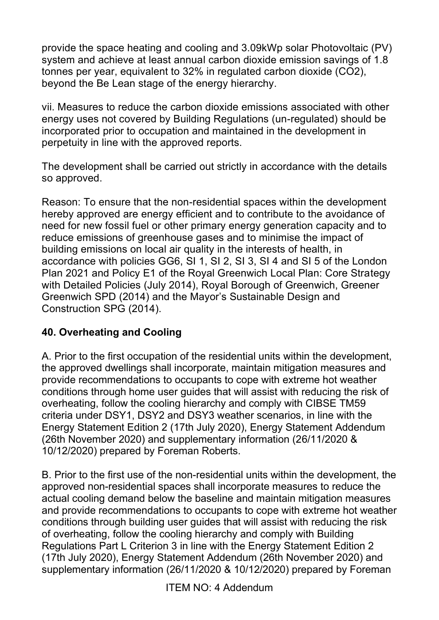provide the space heating and cooling and 3.09kWp solar Photovoltaic (PV) system and achieve at least annual carbon dioxide emission savings of 1.8 tonnes per year, equivalent to 32% in regulated carbon dioxide (CO2), beyond the Be Lean stage of the energy hierarchy.

vii. Measures to reduce the carbon dioxide emissions associated with other energy uses not covered by Building Regulations (un-regulated) should be incorporated prior to occupation and maintained in the development in perpetuity in line with the approved reports.

The development shall be carried out strictly in accordance with the details so approved.

Reason: To ensure that the non-residential spaces within the development hereby approved are energy efficient and to contribute to the avoidance of need for new fossil fuel or other primary energy generation capacity and to reduce emissions of greenhouse gases and to minimise the impact of building emissions on local air quality in the interests of health, in accordance with policies GG6, SI 1, SI 2, SI 3, SI 4 and SI 5 of the London Plan 2021 and Policy E1 of the Royal Greenwich Local Plan: Core Strategy with Detailed Policies (July 2014), Royal Borough of Greenwich, Greener Greenwich SPD (2014) and the Mayor's Sustainable Design and Construction SPG (2014).

## **40. Overheating and Cooling**

A. Prior to the first occupation of the residential units within the development, the approved dwellings shall incorporate, maintain mitigation measures and provide recommendations to occupants to cope with extreme hot weather conditions through home user guides that will assist with reducing the risk of overheating, follow the cooling hierarchy and comply with CIBSE TM59 criteria under DSY1, DSY2 and DSY3 weather scenarios, in line with the Energy Statement Edition 2 (17th July 2020), Energy Statement Addendum (26th November 2020) and supplementary information (26/11/2020 & 10/12/2020) prepared by Foreman Roberts.

B. Prior to the first use of the non-residential units within the development, the approved non-residential spaces shall incorporate measures to reduce the actual cooling demand below the baseline and maintain mitigation measures and provide recommendations to occupants to cope with extreme hot weather conditions through building user guides that will assist with reducing the risk of overheating, follow the cooling hierarchy and comply with Building Regulations Part L Criterion 3 in line with the Energy Statement Edition 2 (17th July 2020), Energy Statement Addendum (26th November 2020) and supplementary information (26/11/2020 & 10/12/2020) prepared by Foreman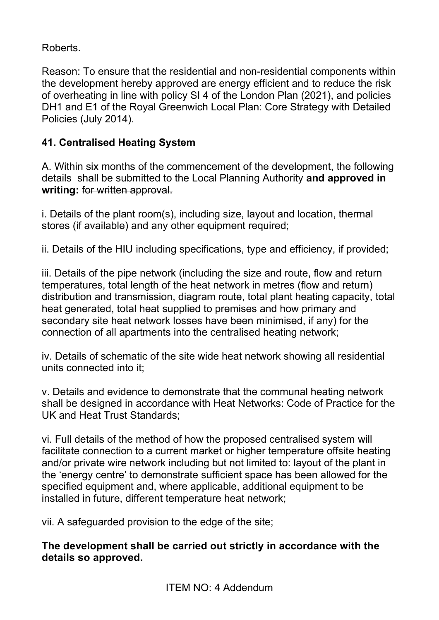Roberts.

Reason: To ensure that the residential and non-residential components within the development hereby approved are energy efficient and to reduce the risk of overheating in line with policy SI 4 of the London Plan (2021), and policies DH1 and E1 of the Royal Greenwich Local Plan: Core Strategy with Detailed Policies (July 2014).

# **41. Centralised Heating System**

A. Within six months of the commencement of the development, the following details shall be submitted to the Local Planning Authority **and approved in writing:** for written approval.

i. Details of the plant room(s), including size, layout and location, thermal stores (if available) and any other equipment required;

ii. Details of the HIU including specifications, type and efficiency, if provided;

iii. Details of the pipe network (including the size and route, flow and return temperatures, total length of the heat network in metres (flow and return) distribution and transmission, diagram route, total plant heating capacity, total heat generated, total heat supplied to premises and how primary and secondary site heat network losses have been minimised, if any) for the connection of all apartments into the centralised heating network;

iv. Details of schematic of the site wide heat network showing all residential units connected into it;

v. Details and evidence to demonstrate that the communal heating network shall be designed in accordance with Heat Networks: Code of Practice for the UK and Heat Trust Standards;

vi. Full details of the method of how the proposed centralised system will facilitate connection to a current market or higher temperature offsite heating and/or private wire network including but not limited to: layout of the plant in the 'energy centre' to demonstrate sufficient space has been allowed for the specified equipment and, where applicable, additional equipment to be installed in future, different temperature heat network;

vii. A safeguarded provision to the edge of the site;

**The development shall be carried out strictly in accordance with the details so approved.**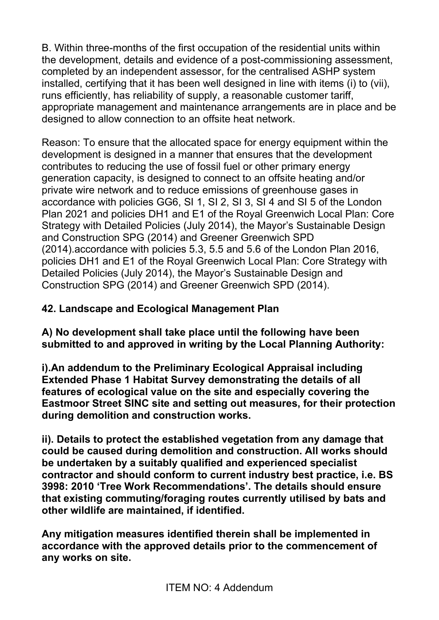B. Within three-months of the first occupation of the residential units within the development, details and evidence of a post-commissioning assessment, completed by an independent assessor, for the centralised ASHP system installed, certifying that it has been well designed in line with items (i) to (vii), runs efficiently, has reliability of supply, a reasonable customer tariff, appropriate management and maintenance arrangements are in place and be designed to allow connection to an offsite heat network.

Reason: To ensure that the allocated space for energy equipment within the development is designed in a manner that ensures that the development contributes to reducing the use of fossil fuel or other primary energy generation capacity, is designed to connect to an offsite heating and/or private wire network and to reduce emissions of greenhouse gases in accordance with policies GG6, SI 1, SI 2, SI 3, SI 4 and SI 5 of the London Plan 2021 and policies DH1 and E1 of the Royal Greenwich Local Plan: Core Strategy with Detailed Policies (July 2014), the Mayor's Sustainable Design and Construction SPG (2014) and Greener Greenwich SPD (2014).accordance with policies 5.3, 5.5 and 5.6 of the London Plan 2016, policies DH1 and E1 of the Royal Greenwich Local Plan: Core Strategy with Detailed Policies (July 2014), the Mayor's Sustainable Design and Construction SPG (2014) and Greener Greenwich SPD (2014).

## **42. Landscape and Ecological Management Plan**

**A) No development shall take place until the following have been submitted to and approved in writing by the Local Planning Authority:**

**i).An addendum to the Preliminary Ecological Appraisal including Extended Phase 1 Habitat Survey demonstrating the details of all features of ecological value on the site and especially covering the Eastmoor Street SINC site and setting out measures, for their protection during demolition and construction works.** 

**ii). Details to protect the established vegetation from any damage that could be caused during demolition and construction. All works should be undertaken by a suitably qualified and experienced specialist contractor and should conform to current industry best practice, i.e. BS 3998: 2010 'Tree Work Recommendations'. The details should ensure that existing commuting/foraging routes currently utilised by bats and other wildlife are maintained, if identified.** 

**Any mitigation measures identified therein shall be implemented in accordance with the approved details prior to the commencement of any works on site.**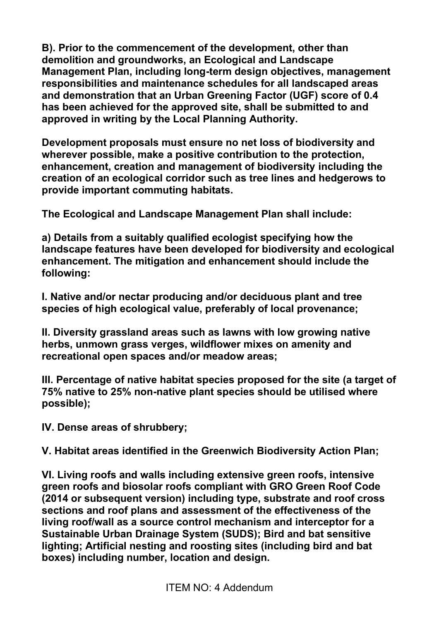**B). Prior to the commencement of the development, other than demolition and groundworks, an Ecological and Landscape Management Plan, including long-term design objectives, management responsibilities and maintenance schedules for all landscaped areas and demonstration that an Urban Greening Factor (UGF) score of 0.4 has been achieved for the approved site, shall be submitted to and approved in writing by the Local Planning Authority.**

**Development proposals must ensure no net loss of biodiversity and wherever possible, make a positive contribution to the protection, enhancement, creation and management of biodiversity including the creation of an ecological corridor such as tree lines and hedgerows to provide important commuting habitats.** 

**The Ecological and Landscape Management Plan shall include:** 

**a) Details from a suitably qualified ecologist specifying how the landscape features have been developed for biodiversity and ecological enhancement. The mitigation and enhancement should include the following:** 

**I. Native and/or nectar producing and/or deciduous plant and tree species of high ecological value, preferably of local provenance;**

**II. Diversity grassland areas such as lawns with low growing native herbs, unmown grass verges, wildflower mixes on amenity and recreational open spaces and/or meadow areas;** 

**III. Percentage of native habitat species proposed for the site (a target of 75% native to 25% non-native plant species should be utilised where possible);** 

**IV. Dense areas of shrubbery;** 

**V. Habitat areas identified in the Greenwich Biodiversity Action Plan;**

**VI. Living roofs and walls including extensive green roofs, intensive green roofs and biosolar roofs compliant with GRO Green Roof Code (2014 or subsequent version) including type, substrate and roof cross sections and roof plans and assessment of the effectiveness of the living roof/wall as a source control mechanism and interceptor for a Sustainable Urban Drainage System (SUDS); Bird and bat sensitive lighting; Artificial nesting and roosting sites (including bird and bat boxes) including number, location and design.**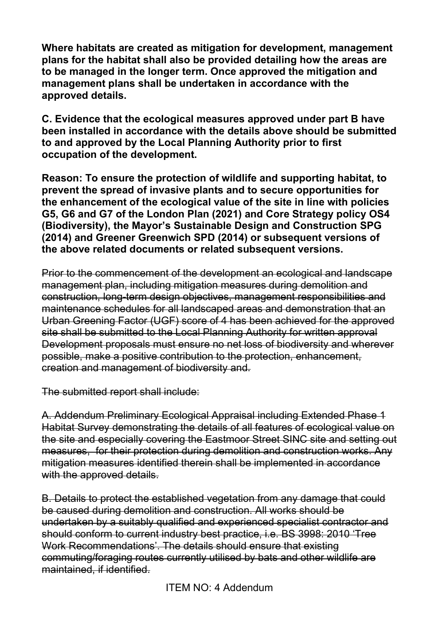**Where habitats are created as mitigation for development, management plans for the habitat shall also be provided detailing how the areas are to be managed in the longer term. Once approved the mitigation and management plans shall be undertaken in accordance with the approved details.** 

**C. Evidence that the ecological measures approved under part B have been installed in accordance with the details above should be submitted to and approved by the Local Planning Authority prior to first occupation of the development.**

**Reason: To ensure the protection of wildlife and supporting habitat, to prevent the spread of invasive plants and to secure opportunities for the enhancement of the ecological value of the site in line with policies G5, G6 and G7 of the London Plan (2021) and Core Strategy policy OS4 (Biodiversity), the Mayor's Sustainable Design and Construction SPG (2014) and Greener Greenwich SPD (2014) or subsequent versions of the above related documents or related subsequent versions.** 

Prior to the commencement of the development an ecological and landscape management plan, including mitigation measures during demolition and construction, long-term design objectives, management responsibilities and maintenance schedules for all landscaped areas and demonstration that an Urban Greening Factor (UGF) score of 4 has been achieved for the approved site shall be submitted to the Local Planning Authority for written approval Development proposals must ensure no net loss of biodiversity and wherever possible, make a positive contribution to the protection, enhancement, creation and management of biodiversity and.

The submitted report shall include:

A. Addendum Preliminary Ecological Appraisal including Extended Phase 1 Habitat Survey demonstrating the details of all features of ecological value on the site and especially covering the Eastmoor Street SINC site and setting out measures, for their protection during demolition and construction works. Any mitigation measures identified therein shall be implemented in accordance with the approved details.

B. Details to protect the established vegetation from any damage that could be caused during demolition and construction. All works should be undertaken by a suitably qualified and experienced specialist contractor and should conform to current industry best practice, i.e. BS 3998: 2010 'Tree Work Recommendations'. The details should ensure that existing commuting/foraging routes currently utilised by bats and other wildlife are maintained, if identified.

ITEM NO: 4 Addendum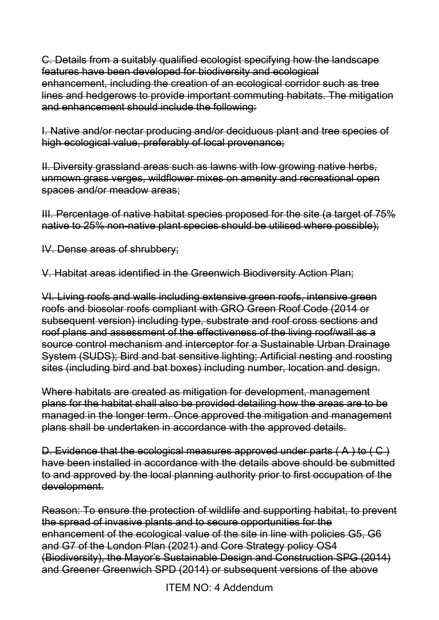C. Details from a suitably qualified ecologist specifying how the landscape features have been developed for biodiversity and ecological enhancement, including the creation of an ecological corridor such as tree lines and hedgerows to provide important commuting habitats. The mitigation and enhancement should include the following:

I. Native and/or nectar producing and/or deciduous plant and tree species of high ecological value, preferably of local provenance;

II. Diversity grassland areas such as lawns with low growing native herbs, unmown grass verges, wildflower mixes on amenity and recreational open spaces and/or meadow areas;

III. Percentage of native habitat species proposed for the site (a target of 75% native to 25% non-native plant species should be utilised where possible);

IV. Dense areas of shrubbery;

V. Habitat areas identified in the Greenwich Biodiversity Action Plan;

VI. Living roofs and walls including extensive green roofs, intensive green roofs and biosolar roofs compliant with GRO Green Roof Code (2014 or subsequent version) including type, substrate and roof cross sections and roof plans and assessment of the effectiveness of the living roof/wall as a source control mechanism and interceptor for a Sustainable Urban Drainage System (SUDS); Bird and bat sensitive lighting; Artificial nesting and roosting sites (including bird and bat boxes) including number, location and design.

Where habitats are created as mitigation for development, management plans for the habitat shall also be provided detailing how the areas are to be managed in the longer term. Once approved the mitigation and management plans shall be undertaken in accordance with the approved details.

D. Evidence that the ecological measures approved under parts  $(A)$  to  $(C)$ have been installed in accordance with the details above should be submitted to and approved by the local planning authority prior to first occupation of the development.

Reason: To ensure the protection of wildlife and supporting habitat, to prevent the spread of invasive plants and to secure opportunities for the enhancement of the ecological value of the site in line with policies G5, G6 and G7 of the London Plan (2021) and Core Strategy policy OS4 (Biodiversity), the Mayor's Sustainable Design and Construction SPG (2014) and Greener Greenwich SPD (2014) or subsequent versions of the above

ITEM NO: 4 Addendum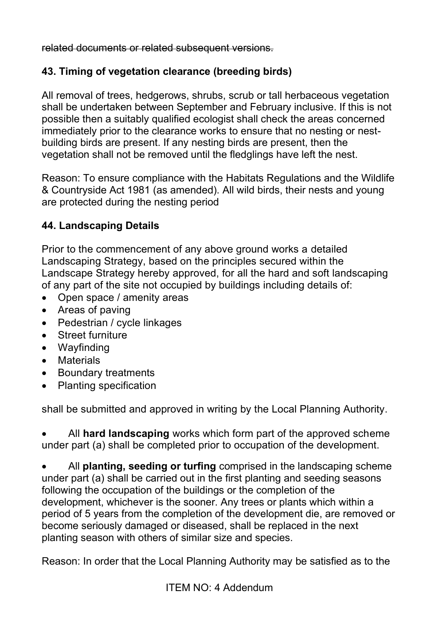related documents or related subsequent versions.

#### **43. Timing of vegetation clearance (breeding birds)**

All removal of trees, hedgerows, shrubs, scrub or tall herbaceous vegetation shall be undertaken between September and February inclusive. If this is not possible then a suitably qualified ecologist shall check the areas concerned immediately prior to the clearance works to ensure that no nesting or nestbuilding birds are present. If any nesting birds are present, then the vegetation shall not be removed until the fledglings have left the nest.

Reason: To ensure compliance with the Habitats Regulations and the Wildlife & Countryside Act 1981 (as amended). All wild birds, their nests and young are protected during the nesting period

#### **44. Landscaping Details**

Prior to the commencement of any above ground works a detailed Landscaping Strategy, based on the principles secured within the Landscape Strategy hereby approved, for all the hard and soft landscaping of any part of the site not occupied by buildings including details of:

- Open space / amenity areas
- Areas of paving
- Pedestrian / cycle linkages
- Street furniture
- Wayfinding
- Materials
- Boundary treatments
- Planting specification

shall be submitted and approved in writing by the Local Planning Authority.

• All **hard landscaping** works which form part of the approved scheme under part (a) shall be completed prior to occupation of the development.

• All **planting, seeding or turfing** comprised in the landscaping scheme under part (a) shall be carried out in the first planting and seeding seasons following the occupation of the buildings or the completion of the development, whichever is the sooner. Any trees or plants which within a period of 5 years from the completion of the development die, are removed or become seriously damaged or diseased, shall be replaced in the next planting season with others of similar size and species.

Reason: In order that the Local Planning Authority may be satisfied as to the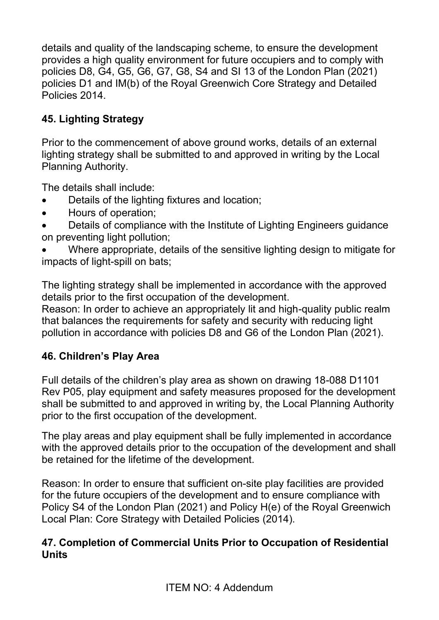details and quality of the landscaping scheme, to ensure the development provides a high quality environment for future occupiers and to comply with policies D8, G4, G5, G6, G7, G8, S4 and SI 13 of the London Plan (2021) policies D1 and IM(b) of the Royal Greenwich Core Strategy and Detailed Policies 2014.

# **45. Lighting Strategy**

Prior to the commencement of above ground works, details of an external lighting strategy shall be submitted to and approved in writing by the Local Planning Authority.

The details shall include:

- Details of the lighting fixtures and location;
- Hours of operation;
- Details of compliance with the Institute of Lighting Engineers guidance on preventing light pollution;
- Where appropriate, details of the sensitive lighting design to mitigate for impacts of light-spill on bats;

The lighting strategy shall be implemented in accordance with the approved details prior to the first occupation of the development.

Reason: In order to achieve an appropriately lit and high-quality public realm that balances the requirements for safety and security with reducing light pollution in accordance with policies D8 and G6 of the London Plan (2021).

## **46. Children's Play Area**

Full details of the children's play area as shown on drawing 18-088 D1101 Rev P05, play equipment and safety measures proposed for the development shall be submitted to and approved in writing by, the Local Planning Authority prior to the first occupation of the development.

The play areas and play equipment shall be fully implemented in accordance with the approved details prior to the occupation of the development and shall be retained for the lifetime of the development.

Reason: In order to ensure that sufficient on-site play facilities are provided for the future occupiers of the development and to ensure compliance with Policy S4 of the London Plan (2021) and Policy H(e) of the Royal Greenwich Local Plan: Core Strategy with Detailed Policies (2014).

#### **47. Completion of Commercial Units Prior to Occupation of Residential Units**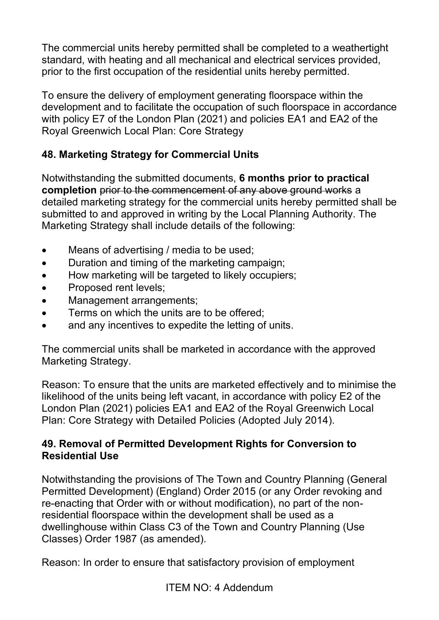The commercial units hereby permitted shall be completed to a weathertight standard, with heating and all mechanical and electrical services provided, prior to the first occupation of the residential units hereby permitted.

To ensure the delivery of employment generating floorspace within the development and to facilitate the occupation of such floorspace in accordance with policy E7 of the London Plan (2021) and policies EA1 and EA2 of the Royal Greenwich Local Plan: Core Strategy

# **48. Marketing Strategy for Commercial Units**

Notwithstanding the submitted documents, **6 months prior to practical completion** prior to the commencement of any above ground works a detailed marketing strategy for the commercial units hereby permitted shall be submitted to and approved in writing by the Local Planning Authority. The Marketing Strategy shall include details of the following:

- Means of advertising / media to be used;
- Duration and timing of the marketing campaign;
- How marketing will be targeted to likely occupiers;
- Proposed rent levels;
- Management arrangements;
- Terms on which the units are to be offered:
- and any incentives to expedite the letting of units.

The commercial units shall be marketed in accordance with the approved Marketing Strategy.

Reason: To ensure that the units are marketed effectively and to minimise the likelihood of the units being left vacant, in accordance with policy E2 of the London Plan (2021) policies EA1 and EA2 of the Royal Greenwich Local Plan: Core Strategy with Detailed Policies (Adopted July 2014).

#### **49. Removal of Permitted Development Rights for Conversion to Residential Use**

Notwithstanding the provisions of The Town and Country Planning (General Permitted Development) (England) Order 2015 (or any Order revoking and re-enacting that Order with or without modification), no part of the nonresidential floorspace within the development shall be used as a dwellinghouse within Class C3 of the Town and Country Planning (Use Classes) Order 1987 (as amended).

Reason: In order to ensure that satisfactory provision of employment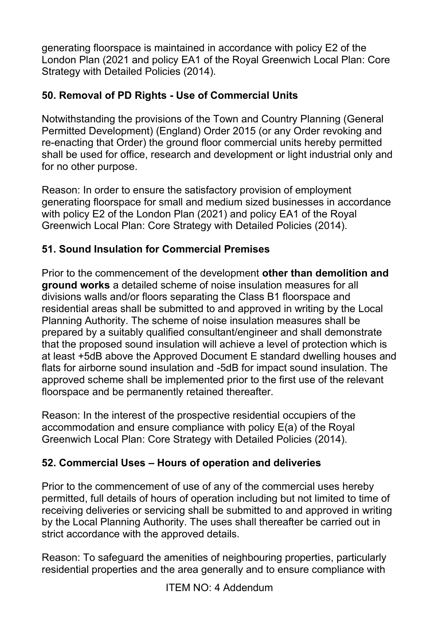generating floorspace is maintained in accordance with policy E2 of the London Plan (2021 and policy EA1 of the Royal Greenwich Local Plan: Core Strategy with Detailed Policies (2014).

# **50. Removal of PD Rights - Use of Commercial Units**

Notwithstanding the provisions of the Town and Country Planning (General Permitted Development) (England) Order 2015 (or any Order revoking and re-enacting that Order) the ground floor commercial units hereby permitted shall be used for office, research and development or light industrial only and for no other purpose.

Reason: In order to ensure the satisfactory provision of employment generating floorspace for small and medium sized businesses in accordance with policy E2 of the London Plan (2021) and policy EA1 of the Royal Greenwich Local Plan: Core Strategy with Detailed Policies (2014).

# **51. Sound Insulation for Commercial Premises**

Prior to the commencement of the development **other than demolition and ground works** a detailed scheme of noise insulation measures for all divisions walls and/or floors separating the Class B1 floorspace and residential areas shall be submitted to and approved in writing by the Local Planning Authority. The scheme of noise insulation measures shall be prepared by a suitably qualified consultant/engineer and shall demonstrate that the proposed sound insulation will achieve a level of protection which is at least +5dB above the Approved Document E standard dwelling houses and flats for airborne sound insulation and -5dB for impact sound insulation. The approved scheme shall be implemented prior to the first use of the relevant floorspace and be permanently retained thereafter.

Reason: In the interest of the prospective residential occupiers of the accommodation and ensure compliance with policy E(a) of the Royal Greenwich Local Plan: Core Strategy with Detailed Policies (2014).

## **52. Commercial Uses – Hours of operation and deliveries**

Prior to the commencement of use of any of the commercial uses hereby permitted, full details of hours of operation including but not limited to time of receiving deliveries or servicing shall be submitted to and approved in writing by the Local Planning Authority. The uses shall thereafter be carried out in strict accordance with the approved details.

Reason: To safeguard the amenities of neighbouring properties, particularly residential properties and the area generally and to ensure compliance with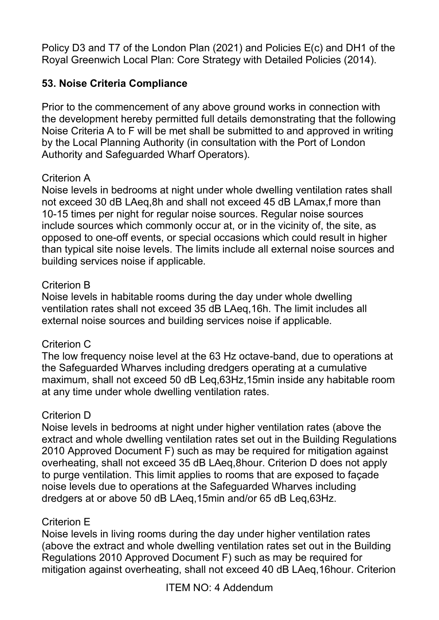Policy D3 and T7 of the London Plan (2021) and Policies E(c) and DH1 of the Royal Greenwich Local Plan: Core Strategy with Detailed Policies (2014).

## **53. Noise Criteria Compliance**

Prior to the commencement of any above ground works in connection with the development hereby permitted full details demonstrating that the following Noise Criteria A to F will be met shall be submitted to and approved in writing by the Local Planning Authority (in consultation with the Port of London Authority and Safeguarded Wharf Operators).

#### Criterion A

Noise levels in bedrooms at night under whole dwelling ventilation rates shall not exceed 30 dB LAeq,8h and shall not exceed 45 dB LAmax,f more than 10-15 times per night for regular noise sources. Regular noise sources include sources which commonly occur at, or in the vicinity of, the site, as opposed to one-off events, or special occasions which could result in higher than typical site noise levels. The limits include all external noise sources and building services noise if applicable.

#### Criterion B

Noise levels in habitable rooms during the day under whole dwelling ventilation rates shall not exceed 35 dB LAeq,16h. The limit includes all external noise sources and building services noise if applicable.

#### Criterion C

The low frequency noise level at the 63 Hz octave-band, due to operations at the Safeguarded Wharves including dredgers operating at a cumulative maximum, shall not exceed 50 dB Leq,63Hz,15min inside any habitable room at any time under whole dwelling ventilation rates.

#### Criterion D

Noise levels in bedrooms at night under higher ventilation rates (above the extract and whole dwelling ventilation rates set out in the Building Regulations 2010 Approved Document F) such as may be required for mitigation against overheating, shall not exceed 35 dB LAeq,8hour. Criterion D does not apply to purge ventilation. This limit applies to rooms that are exposed to façade noise levels due to operations at the Safeguarded Wharves including dredgers at or above 50 dB LAeq,15min and/or 65 dB Leq,63Hz.

#### Criterion E

Noise levels in living rooms during the day under higher ventilation rates (above the extract and whole dwelling ventilation rates set out in the Building Regulations 2010 Approved Document F) such as may be required for mitigation against overheating, shall not exceed 40 dB LAeq,16hour. Criterion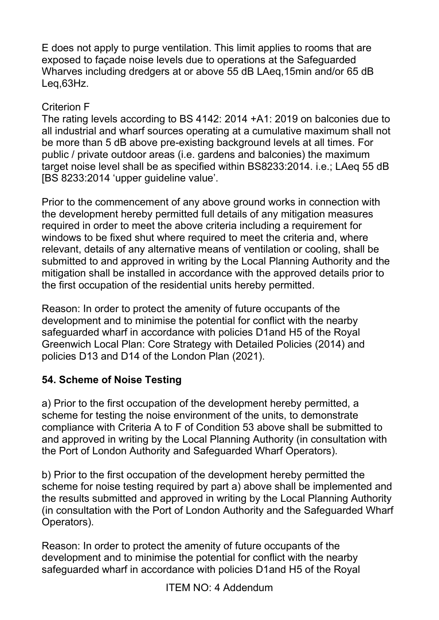E does not apply to purge ventilation. This limit applies to rooms that are exposed to façade noise levels due to operations at the Safeguarded Wharves including dredgers at or above 55 dB LAeg, 15min and/or 65 dB Leq,63Hz.

#### Criterion F

The rating levels according to BS 4142: 2014 +A1: 2019 on balconies due to all industrial and wharf sources operating at a cumulative maximum shall not be more than 5 dB above pre-existing background levels at all times. For public / private outdoor areas (i.e. gardens and balconies) the maximum target noise level shall be as specified within BS8233:2014. i.e.; LAeq 55 dB [BS 8233:2014 'upper guideline value'.

Prior to the commencement of any above ground works in connection with the development hereby permitted full details of any mitigation measures required in order to meet the above criteria including a requirement for windows to be fixed shut where required to meet the criteria and, where relevant, details of any alternative means of ventilation or cooling, shall be submitted to and approved in writing by the Local Planning Authority and the mitigation shall be installed in accordance with the approved details prior to the first occupation of the residential units hereby permitted.

Reason: In order to protect the amenity of future occupants of the development and to minimise the potential for conflict with the nearby safeguarded wharf in accordance with policies D1and H5 of the Royal Greenwich Local Plan: Core Strategy with Detailed Policies (2014) and policies D13 and D14 of the London Plan (2021).

## **54. Scheme of Noise Testing**

a) Prior to the first occupation of the development hereby permitted, a scheme for testing the noise environment of the units, to demonstrate compliance with Criteria A to F of Condition 53 above shall be submitted to and approved in writing by the Local Planning Authority (in consultation with the Port of London Authority and Safeguarded Wharf Operators).

b) Prior to the first occupation of the development hereby permitted the scheme for noise testing required by part a) above shall be implemented and the results submitted and approved in writing by the Local Planning Authority (in consultation with the Port of London Authority and the Safeguarded Wharf Operators).

Reason: In order to protect the amenity of future occupants of the development and to minimise the potential for conflict with the nearby safeguarded wharf in accordance with policies D1and H5 of the Royal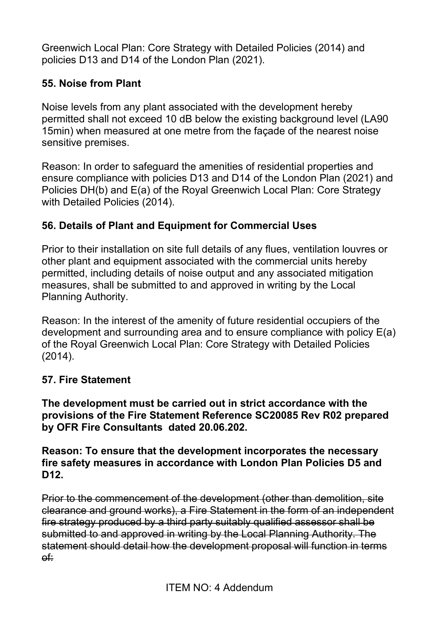Greenwich Local Plan: Core Strategy with Detailed Policies (2014) and policies D13 and D14 of the London Plan (2021).

#### **55. Noise from Plant**

Noise levels from any plant associated with the development hereby permitted shall not exceed 10 dB below the existing background level (LA90 15min) when measured at one metre from the façade of the nearest noise sensitive premises.

Reason: In order to safeguard the amenities of residential properties and ensure compliance with policies D13 and D14 of the London Plan (2021) and Policies DH(b) and E(a) of the Royal Greenwich Local Plan: Core Strategy with Detailed Policies (2014).

#### **56. Details of Plant and Equipment for Commercial Uses**

Prior to their installation on site full details of any flues, ventilation louvres or other plant and equipment associated with the commercial units hereby permitted, including details of noise output and any associated mitigation measures, shall be submitted to and approved in writing by the Local Planning Authority.

Reason: In the interest of the amenity of future residential occupiers of the development and surrounding area and to ensure compliance with policy E(a) of the Royal Greenwich Local Plan: Core Strategy with Detailed Policies (2014).

#### **57. Fire Statement**

**The development must be carried out in strict accordance with the provisions of the Fire Statement Reference SC20085 Rev R02 prepared by OFR Fire Consultants dated 20.06.202.** 

**Reason: To ensure that the development incorporates the necessary fire safety measures in accordance with London Plan Policies D5 and D12.** 

Prior to the commencement of the development (other than demolition, site clearance and ground works), a Fire Statement in the form of an independent fire strategy produced by a third party suitably qualified assessor shall be submitted to and approved in writing by the Local Planning Authority. The statement should detail how the development proposal will function in terms of: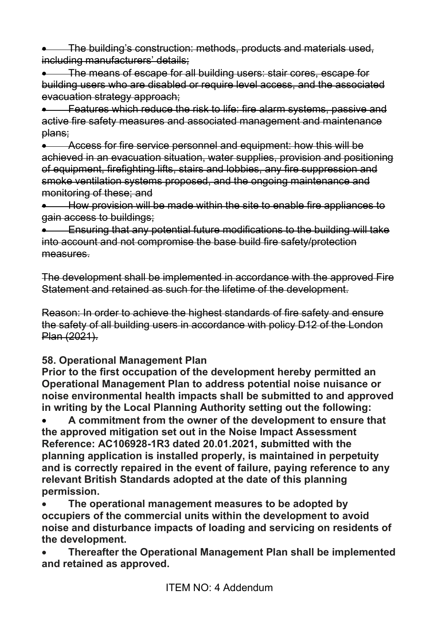• The building's construction: methods, products and materials used, including manufacturers' details:

• The means of escape for all building users: stair cores, escape for building users who are disabled or require level access, and the associated evacuation strategy approach;

• Features which reduce the risk to life: fire alarm systems, passive and active fire safety measures and associated management and maintenance plans;

• Access for fire service personnel and equipment: how this will be achieved in an evacuation situation, water supplies, provision and positioning of equipment, firefighting lifts, stairs and lobbies, any fire suppression and smoke ventilation systems proposed, and the ongoing maintenance and monitoring of these; and

• How provision will be made within the site to enable fire appliances to gain access to buildings;

• Ensuring that any potential future modifications to the building will take into account and not compromise the base build fire safety/protection measures.

The development shall be implemented in accordance with the approved Fire Statement and retained as such for the lifetime of the development.

Reason: In order to achieve the highest standards of fire safety and ensure the safety of all building users in accordance with policy D12 of the London Plan (2021).

## **58. Operational Management Plan**

**Prior to the first occupation of the development hereby permitted an Operational Management Plan to address potential noise nuisance or noise environmental health impacts shall be submitted to and approved in writing by the Local Planning Authority setting out the following:** 

• **A commitment from the owner of the development to ensure that the approved mitigation set out in the Noise Impact Assessment Reference: AC106928-1R3 dated 20.01.2021,** *s***ubmitted with the planning application is installed properly, is maintained in perpetuity and is correctly repaired in the event of failure, paying reference to any relevant British Standards adopted at the date of this planning permission.**

• **The operational management measures to be adopted by occupiers of the commercial units within the development to avoid noise and disturbance impacts of loading and servicing on residents of the development.** 

• **Thereafter the Operational Management Plan shall be implemented and retained as approved.**